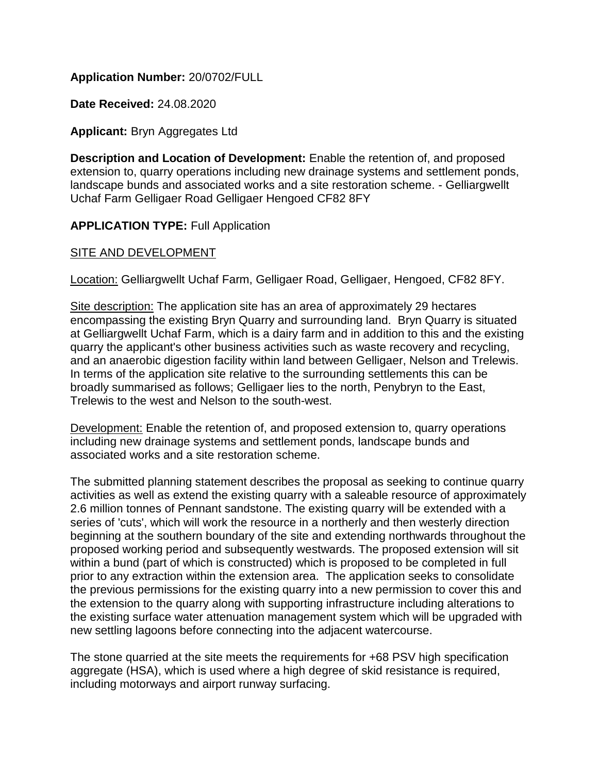# **Application Number:** 20/0702/FULL

**Date Received:** 24.08.2020

### **Applicant:** Bryn Aggregates Ltd

**Description and Location of Development:** Enable the retention of, and proposed extension to, quarry operations including new drainage systems and settlement ponds, landscape bunds and associated works and a site restoration scheme. - Gelliargwellt Uchaf Farm Gelligaer Road Gelligaer Hengoed CF82 8FY

### **APPLICATION TYPE: Full Application**

### SITE AND DEVELOPMENT

Location: Gelliargwellt Uchaf Farm, Gelligaer Road, Gelligaer, Hengoed, CF82 8FY.

Site description: The application site has an area of approximately 29 hectares encompassing the existing Bryn Quarry and surrounding land. Bryn Quarry is situated at Gelliargwellt Uchaf Farm, which is a dairy farm and in addition to this and the existing quarry the applicant's other business activities such as waste recovery and recycling, and an anaerobic digestion facility within land between Gelligaer, Nelson and Trelewis. In terms of the application site relative to the surrounding settlements this can be broadly summarised as follows; Gelligaer lies to the north, Penybryn to the East, Trelewis to the west and Nelson to the south-west.

Development: Enable the retention of, and proposed extension to, quarry operations including new drainage systems and settlement ponds, landscape bunds and associated works and a site restoration scheme.

The submitted planning statement describes the proposal as seeking to continue quarry activities as well as extend the existing quarry with a saleable resource of approximately 2.6 million tonnes of Pennant sandstone. The existing quarry will be extended with a series of 'cuts', which will work the resource in a northerly and then westerly direction beginning at the southern boundary of the site and extending northwards throughout the proposed working period and subsequently westwards. The proposed extension will sit within a bund (part of which is constructed) which is proposed to be completed in full prior to any extraction within the extension area. The application seeks to consolidate the previous permissions for the existing quarry into a new permission to cover this and the extension to the quarry along with supporting infrastructure including alterations to the existing surface water attenuation management system which will be upgraded with new settling lagoons before connecting into the adjacent watercourse.

The stone quarried at the site meets the requirements for +68 PSV high specification aggregate (HSA), which is used where a high degree of skid resistance is required, including motorways and airport runway surfacing.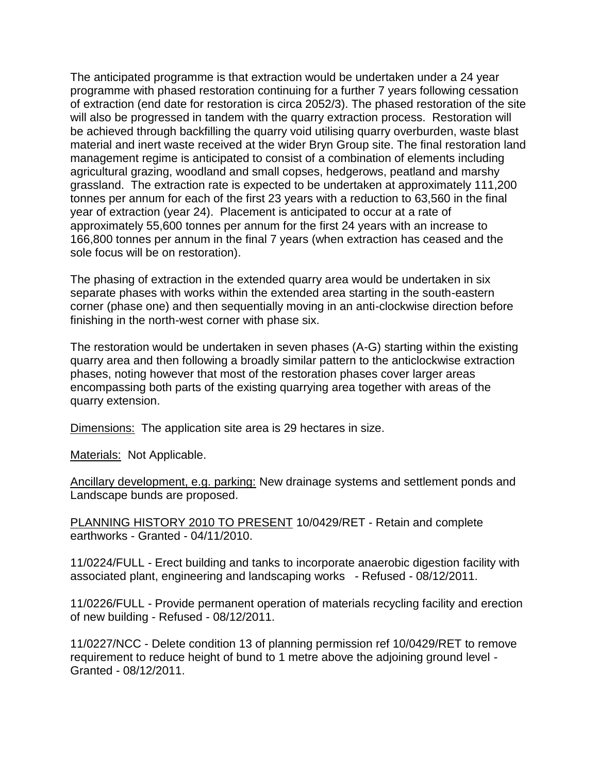The anticipated programme is that extraction would be undertaken under a 24 year programme with phased restoration continuing for a further 7 years following cessation of extraction (end date for restoration is circa 2052/3). The phased restoration of the site will also be progressed in tandem with the quarry extraction process. Restoration will be achieved through backfilling the quarry void utilising quarry overburden, waste blast material and inert waste received at the wider Bryn Group site. The final restoration land management regime is anticipated to consist of a combination of elements including agricultural grazing, woodland and small copses, hedgerows, peatland and marshy grassland. The extraction rate is expected to be undertaken at approximately 111,200 tonnes per annum for each of the first 23 years with a reduction to 63,560 in the final year of extraction (year 24). Placement is anticipated to occur at a rate of approximately 55,600 tonnes per annum for the first 24 years with an increase to 166,800 tonnes per annum in the final 7 years (when extraction has ceased and the sole focus will be on restoration).

The phasing of extraction in the extended quarry area would be undertaken in six separate phases with works within the extended area starting in the south-eastern corner (phase one) and then sequentially moving in an anti-clockwise direction before finishing in the north-west corner with phase six.

The restoration would be undertaken in seven phases (A-G) starting within the existing quarry area and then following a broadly similar pattern to the anticlockwise extraction phases, noting however that most of the restoration phases cover larger areas encompassing both parts of the existing quarrying area together with areas of the quarry extension.

Dimensions: The application site area is 29 hectares in size.

Materials: Not Applicable.

Ancillary development, e.g. parking: New drainage systems and settlement ponds and Landscape bunds are proposed.

PLANNING HISTORY 2010 TO PRESENT 10/0429/RET - Retain and complete earthworks - Granted - 04/11/2010.

11/0224/FULL - Erect building and tanks to incorporate anaerobic digestion facility with associated plant, engineering and landscaping works - Refused - 08/12/2011.

11/0226/FULL - Provide permanent operation of materials recycling facility and erection of new building - Refused - 08/12/2011.

11/0227/NCC - Delete condition 13 of planning permission ref 10/0429/RET to remove requirement to reduce height of bund to 1 metre above the adjoining ground level - Granted - 08/12/2011.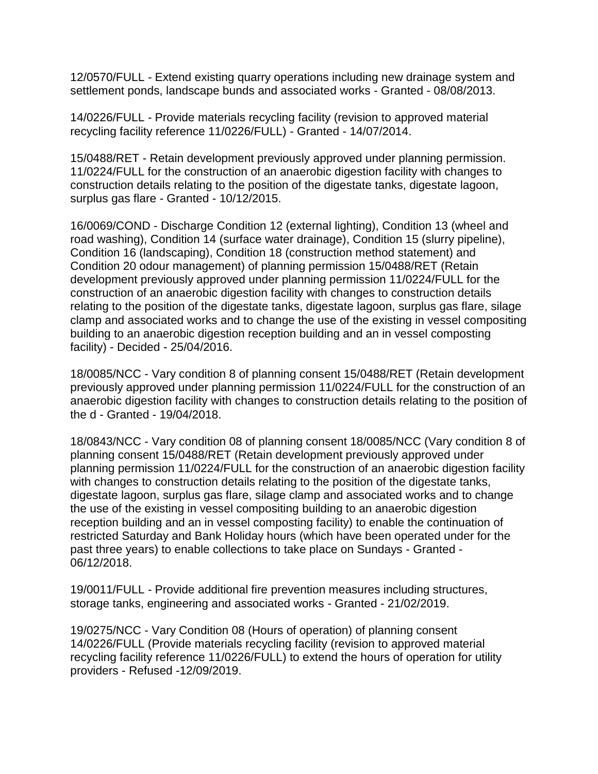12/0570/FULL - Extend existing quarry operations including new drainage system and settlement ponds, landscape bunds and associated works - Granted - 08/08/2013.

14/0226/FULL - Provide materials recycling facility (revision to approved material recycling facility reference 11/0226/FULL) - Granted - 14/07/2014.

15/0488/RET - Retain development previously approved under planning permission. 11/0224/FULL for the construction of an anaerobic digestion facility with changes to construction details relating to the position of the digestate tanks, digestate lagoon, surplus gas flare - Granted - 10/12/2015.

16/0069/COND - Discharge Condition 12 (external lighting), Condition 13 (wheel and road washing), Condition 14 (surface water drainage), Condition 15 (slurry pipeline), Condition 16 (landscaping), Condition 18 (construction method statement) and Condition 20 odour management) of planning permission 15/0488/RET (Retain development previously approved under planning permission 11/0224/FULL for the construction of an anaerobic digestion facility with changes to construction details relating to the position of the digestate tanks, digestate lagoon, surplus gas flare, silage clamp and associated works and to change the use of the existing in vessel compositing building to an anaerobic digestion reception building and an in vessel composting facility) - Decided - 25/04/2016.

18/0085/NCC - Vary condition 8 of planning consent 15/0488/RET (Retain development previously approved under planning permission 11/0224/FULL for the construction of an anaerobic digestion facility with changes to construction details relating to the position of the d - Granted - 19/04/2018.

18/0843/NCC - Vary condition 08 of planning consent 18/0085/NCC (Vary condition 8 of planning consent 15/0488/RET (Retain development previously approved under planning permission 11/0224/FULL for the construction of an anaerobic digestion facility with changes to construction details relating to the position of the digestate tanks, digestate lagoon, surplus gas flare, silage clamp and associated works and to change the use of the existing in vessel compositing building to an anaerobic digestion reception building and an in vessel composting facility) to enable the continuation of restricted Saturday and Bank Holiday hours (which have been operated under for the past three years) to enable collections to take place on Sundays - Granted - 06/12/2018.

19/0011/FULL - Provide additional fire prevention measures including structures, storage tanks, engineering and associated works - Granted - 21/02/2019.

19/0275/NCC - Vary Condition 08 (Hours of operation) of planning consent 14/0226/FULL (Provide materials recycling facility (revision to approved material recycling facility reference 11/0226/FULL) to extend the hours of operation for utility providers - Refused -12/09/2019.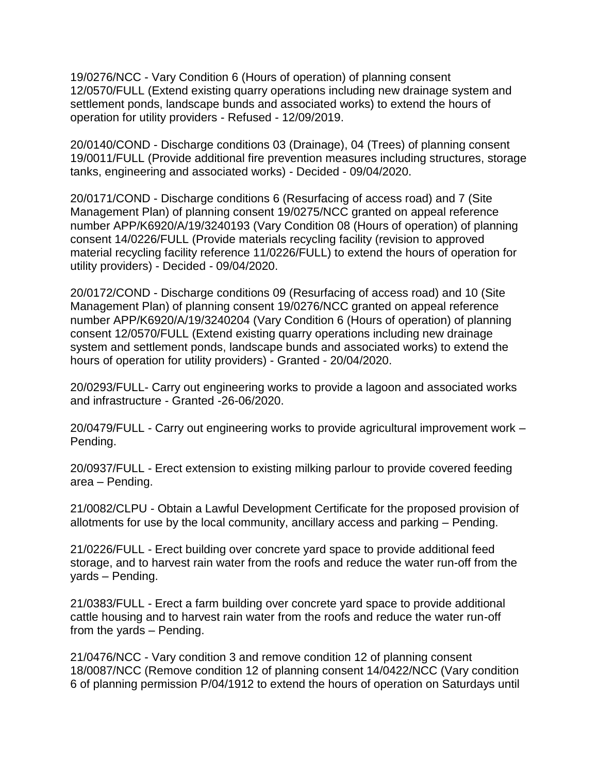19/0276/NCC - Vary Condition 6 (Hours of operation) of planning consent 12/0570/FULL (Extend existing quarry operations including new drainage system and settlement ponds, landscape bunds and associated works) to extend the hours of operation for utility providers - Refused - 12/09/2019.

20/0140/COND - Discharge conditions 03 (Drainage), 04 (Trees) of planning consent 19/0011/FULL (Provide additional fire prevention measures including structures, storage tanks, engineering and associated works) - Decided - 09/04/2020.

20/0171/COND - Discharge conditions 6 (Resurfacing of access road) and 7 (Site Management Plan) of planning consent 19/0275/NCC granted on appeal reference number APP/K6920/A/19/3240193 (Vary Condition 08 (Hours of operation) of planning consent 14/0226/FULL (Provide materials recycling facility (revision to approved material recycling facility reference 11/0226/FULL) to extend the hours of operation for utility providers) - Decided - 09/04/2020.

20/0172/COND - Discharge conditions 09 (Resurfacing of access road) and 10 (Site Management Plan) of planning consent 19/0276/NCC granted on appeal reference number APP/K6920/A/19/3240204 (Vary Condition 6 (Hours of operation) of planning consent 12/0570/FULL (Extend existing quarry operations including new drainage system and settlement ponds, landscape bunds and associated works) to extend the hours of operation for utility providers) - Granted - 20/04/2020.

20/0293/FULL- Carry out engineering works to provide a lagoon and associated works and infrastructure - Granted -26-06/2020.

20/0479/FULL - Carry out engineering works to provide agricultural improvement work – Pending.

20/0937/FULL - Erect extension to existing milking parlour to provide covered feeding area – Pending.

21/0082/CLPU - Obtain a Lawful Development Certificate for the proposed provision of allotments for use by the local community, ancillary access and parking – Pending.

21/0226/FULL - Erect building over concrete yard space to provide additional feed storage, and to harvest rain water from the roofs and reduce the water run-off from the yards – Pending.

21/0383/FULL - Erect a farm building over concrete yard space to provide additional cattle housing and to harvest rain water from the roofs and reduce the water run-off from the yards – Pending.

21/0476/NCC - Vary condition 3 and remove condition 12 of planning consent 18/0087/NCC (Remove condition 12 of planning consent 14/0422/NCC (Vary condition 6 of planning permission P/04/1912 to extend the hours of operation on Saturdays until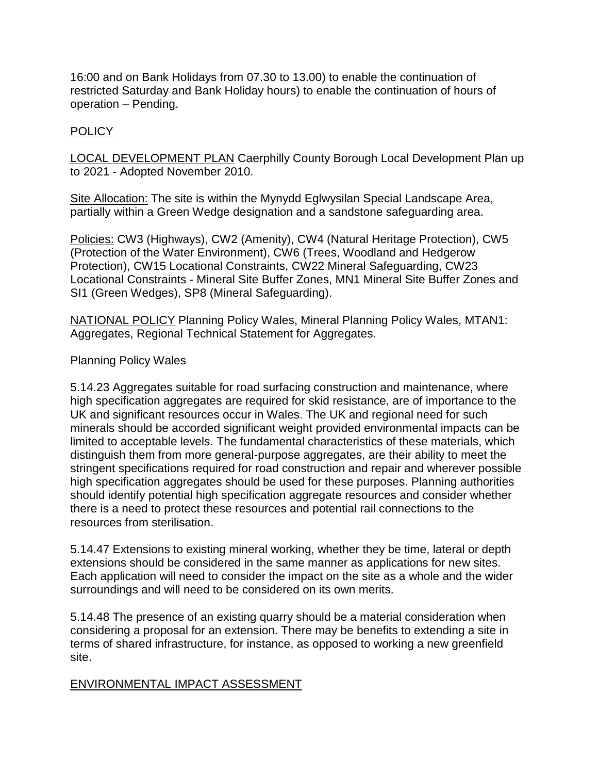16:00 and on Bank Holidays from 07.30 to 13.00) to enable the continuation of restricted Saturday and Bank Holiday hours) to enable the continuation of hours of operation – Pending.

# POLICY

LOCAL DEVELOPMENT PLAN Caerphilly County Borough Local Development Plan up to 2021 - Adopted November 2010.

Site Allocation: The site is within the Mynydd Eglwysilan Special Landscape Area, partially within a Green Wedge designation and a sandstone safeguarding area.

Policies: CW3 (Highways), CW2 (Amenity), CW4 (Natural Heritage Protection), CW5 (Protection of the Water Environment), CW6 (Trees, Woodland and Hedgerow Protection), CW15 Locational Constraints, CW22 Mineral Safeguarding, CW23 Locational Constraints - Mineral Site Buffer Zones, MN1 Mineral Site Buffer Zones and SI1 (Green Wedges), SP8 (Mineral Safeguarding).

NATIONAL POLICY Planning Policy Wales, Mineral Planning Policy Wales, MTAN1: Aggregates, Regional Technical Statement for Aggregates.

# Planning Policy Wales

5.14.23 Aggregates suitable for road surfacing construction and maintenance, where high specification aggregates are required for skid resistance, are of importance to the UK and significant resources occur in Wales. The UK and regional need for such minerals should be accorded significant weight provided environmental impacts can be limited to acceptable levels. The fundamental characteristics of these materials, which distinguish them from more general-purpose aggregates, are their ability to meet the stringent specifications required for road construction and repair and wherever possible high specification aggregates should be used for these purposes. Planning authorities should identify potential high specification aggregate resources and consider whether there is a need to protect these resources and potential rail connections to the resources from sterilisation.

5.14.47 Extensions to existing mineral working, whether they be time, lateral or depth extensions should be considered in the same manner as applications for new sites. Each application will need to consider the impact on the site as a whole and the wider surroundings and will need to be considered on its own merits.

5.14.48 The presence of an existing quarry should be a material consideration when considering a proposal for an extension. There may be benefits to extending a site in terms of shared infrastructure, for instance, as opposed to working a new greenfield site.

# ENVIRONMENTAL IMPACT ASSESSMENT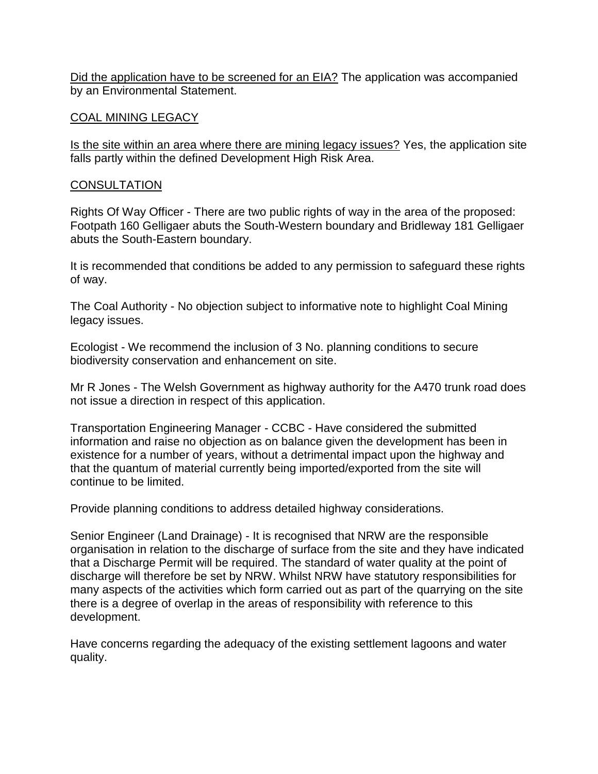Did the application have to be screened for an EIA? The application was accompanied by an Environmental Statement.

### COAL MINING LEGACY

Is the site within an area where there are mining legacy issues? Yes, the application site falls partly within the defined Development High Risk Area.

# **CONSULTATION**

Rights Of Way Officer - There are two public rights of way in the area of the proposed: Footpath 160 Gelligaer abuts the South-Western boundary and Bridleway 181 Gelligaer abuts the South-Eastern boundary.

It is recommended that conditions be added to any permission to safeguard these rights of way.

The Coal Authority - No objection subject to informative note to highlight Coal Mining legacy issues.

Ecologist - We recommend the inclusion of 3 No. planning conditions to secure biodiversity conservation and enhancement on site.

Mr R Jones - The Welsh Government as highway authority for the A470 trunk road does not issue a direction in respect of this application.

Transportation Engineering Manager - CCBC - Have considered the submitted information and raise no objection as on balance given the development has been in existence for a number of years, without a detrimental impact upon the highway and that the quantum of material currently being imported/exported from the site will continue to be limited.

Provide planning conditions to address detailed highway considerations.

Senior Engineer (Land Drainage) - It is recognised that NRW are the responsible organisation in relation to the discharge of surface from the site and they have indicated that a Discharge Permit will be required. The standard of water quality at the point of discharge will therefore be set by NRW. Whilst NRW have statutory responsibilities for many aspects of the activities which form carried out as part of the quarrying on the site there is a degree of overlap in the areas of responsibility with reference to this development.

Have concerns regarding the adequacy of the existing settlement lagoons and water quality.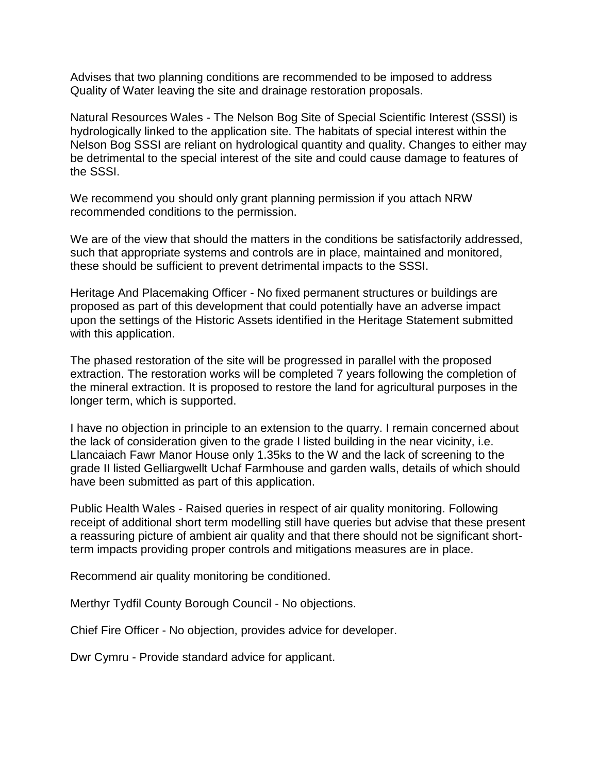Advises that two planning conditions are recommended to be imposed to address Quality of Water leaving the site and drainage restoration proposals.

Natural Resources Wales - The Nelson Bog Site of Special Scientific Interest (SSSI) is hydrologically linked to the application site. The habitats of special interest within the Nelson Bog SSSI are reliant on hydrological quantity and quality. Changes to either may be detrimental to the special interest of the site and could cause damage to features of the SSSI.

We recommend you should only grant planning permission if you attach NRW recommended conditions to the permission.

We are of the view that should the matters in the conditions be satisfactorily addressed, such that appropriate systems and controls are in place, maintained and monitored, these should be sufficient to prevent detrimental impacts to the SSSI.

Heritage And Placemaking Officer - No fixed permanent structures or buildings are proposed as part of this development that could potentially have an adverse impact upon the settings of the Historic Assets identified in the Heritage Statement submitted with this application.

The phased restoration of the site will be progressed in parallel with the proposed extraction. The restoration works will be completed 7 years following the completion of the mineral extraction. It is proposed to restore the land for agricultural purposes in the longer term, which is supported.

I have no objection in principle to an extension to the quarry. I remain concerned about the lack of consideration given to the grade I listed building in the near vicinity, i.e. Llancaiach Fawr Manor House only 1.35ks to the W and the lack of screening to the grade II listed Gelliargwellt Uchaf Farmhouse and garden walls, details of which should have been submitted as part of this application.

Public Health Wales - Raised queries in respect of air quality monitoring. Following receipt of additional short term modelling still have queries but advise that these present a reassuring picture of ambient air quality and that there should not be significant shortterm impacts providing proper controls and mitigations measures are in place.

Recommend air quality monitoring be conditioned.

Merthyr Tydfil County Borough Council - No objections.

Chief Fire Officer - No objection, provides advice for developer.

Dwr Cymru - Provide standard advice for applicant.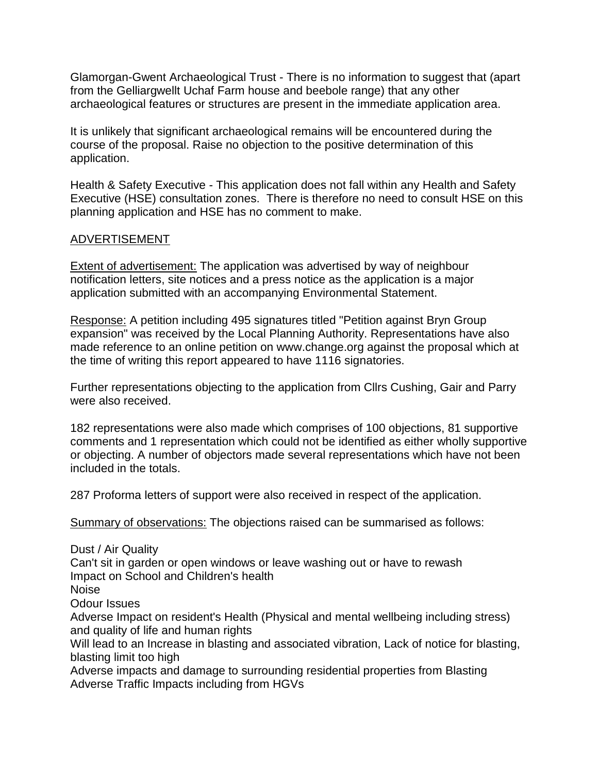Glamorgan-Gwent Archaeological Trust - There is no information to suggest that (apart from the Gelliargwellt Uchaf Farm house and beebole range) that any other archaeological features or structures are present in the immediate application area.

It is unlikely that significant archaeological remains will be encountered during the course of the proposal. Raise no objection to the positive determination of this application.

Health & Safety Executive - This application does not fall within any Health and Safety Executive (HSE) consultation zones. There is therefore no need to consult HSE on this planning application and HSE has no comment to make.

# ADVERTISEMENT

Extent of advertisement: The application was advertised by way of neighbour notification letters, site notices and a press notice as the application is a major application submitted with an accompanying Environmental Statement.

Response: A petition including 495 signatures titled "Petition against Bryn Group expansion" was received by the Local Planning Authority. Representations have also made reference to an online petition on www.change.org against the proposal which at the time of writing this report appeared to have 1116 signatories.

Further representations objecting to the application from Cllrs Cushing, Gair and Parry were also received.

182 representations were also made which comprises of 100 objections, 81 supportive comments and 1 representation which could not be identified as either wholly supportive or objecting. A number of objectors made several representations which have not been included in the totals.

287 Proforma letters of support were also received in respect of the application.

Summary of observations: The objections raised can be summarised as follows:

Dust / Air Quality Can't sit in garden or open windows or leave washing out or have to rewash Impact on School and Children's health Noise Odour Issues Adverse Impact on resident's Health (Physical and mental wellbeing including stress) and quality of life and human rights Will lead to an Increase in blasting and associated vibration, Lack of notice for blasting, blasting limit too high Adverse impacts and damage to surrounding residential properties from Blasting

Adverse Traffic Impacts including from HGVs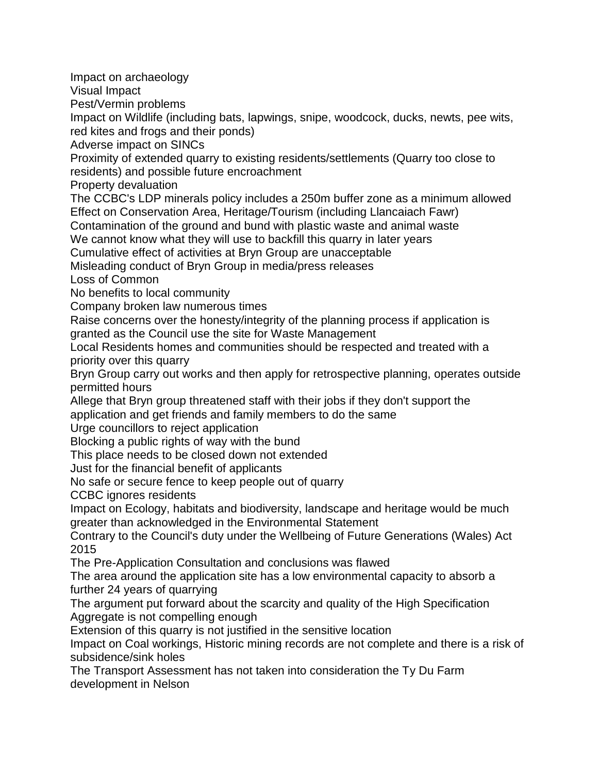Impact on archaeology

Visual Impact

Pest/Vermin problems

Impact on Wildlife (including bats, lapwings, snipe, woodcock, ducks, newts, pee wits, red kites and frogs and their ponds)

Adverse impact on SINCs

Proximity of extended quarry to existing residents/settlements (Quarry too close to residents) and possible future encroachment

Property devaluation

The CCBC's LDP minerals policy includes a 250m buffer zone as a minimum allowed Effect on Conservation Area, Heritage/Tourism (including Llancaiach Fawr)

Contamination of the ground and bund with plastic waste and animal waste

We cannot know what they will use to backfill this quarry in later years

Cumulative effect of activities at Bryn Group are unacceptable

Misleading conduct of Bryn Group in media/press releases

Loss of Common

No benefits to local community

Company broken law numerous times

Raise concerns over the honesty/integrity of the planning process if application is granted as the Council use the site for Waste Management

Local Residents homes and communities should be respected and treated with a priority over this quarry

Bryn Group carry out works and then apply for retrospective planning, operates outside permitted hours

Allege that Bryn group threatened staff with their jobs if they don't support the application and get friends and family members to do the same

Urge councillors to reject application

Blocking a public rights of way with the bund

This place needs to be closed down not extended

Just for the financial benefit of applicants

No safe or secure fence to keep people out of quarry

CCBC ignores residents

Impact on Ecology, habitats and biodiversity, landscape and heritage would be much greater than acknowledged in the Environmental Statement

Contrary to the Council's duty under the Wellbeing of Future Generations (Wales) Act 2015

The Pre-Application Consultation and conclusions was flawed

The area around the application site has a low environmental capacity to absorb a further 24 years of quarrying

The argument put forward about the scarcity and quality of the High Specification Aggregate is not compelling enough

Extension of this quarry is not justified in the sensitive location

Impact on Coal workings, Historic mining records are not complete and there is a risk of subsidence/sink holes

The Transport Assessment has not taken into consideration the Ty Du Farm development in Nelson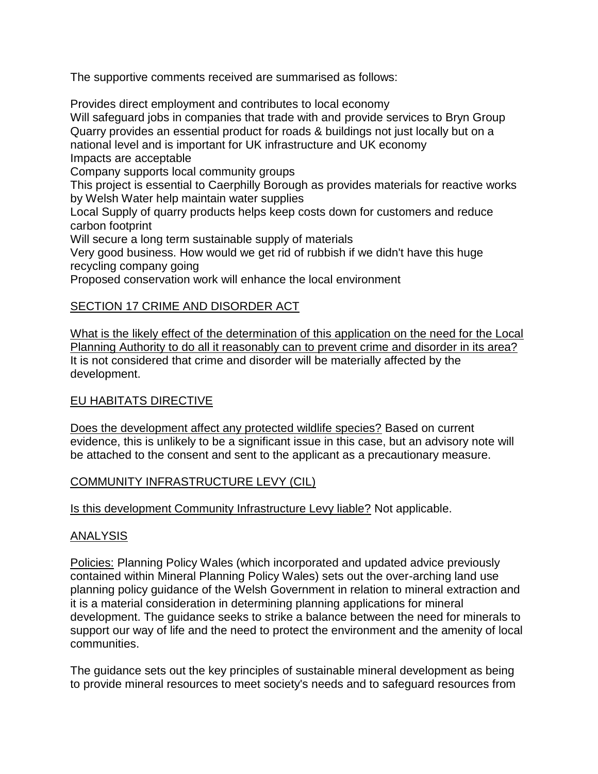The supportive comments received are summarised as follows:

Provides direct employment and contributes to local economy Will safeguard jobs in companies that trade with and provide services to Bryn Group Quarry provides an essential product for roads & buildings not just locally but on a national level and is important for UK infrastructure and UK economy Impacts are acceptable Company supports local community groups

This project is essential to Caerphilly Borough as provides materials for reactive works by Welsh Water help maintain water supplies

Local Supply of quarry products helps keep costs down for customers and reduce carbon footprint

Will secure a long term sustainable supply of materials

Very good business. How would we get rid of rubbish if we didn't have this huge recycling company going

Proposed conservation work will enhance the local environment

# SECTION 17 CRIME AND DISORDER ACT

What is the likely effect of the determination of this application on the need for the Local Planning Authority to do all it reasonably can to prevent crime and disorder in its area? It is not considered that crime and disorder will be materially affected by the development.

# EU HABITATS DIRECTIVE

Does the development affect any protected wildlife species? Based on current evidence, this is unlikely to be a significant issue in this case, but an advisory note will be attached to the consent and sent to the applicant as a precautionary measure.

# COMMUNITY INFRASTRUCTURE LEVY (CIL)

Is this development Community Infrastructure Levy liable? Not applicable.

# ANALYSIS

Policies: Planning Policy Wales (which incorporated and updated advice previously contained within Mineral Planning Policy Wales) sets out the over-arching land use planning policy guidance of the Welsh Government in relation to mineral extraction and it is a material consideration in determining planning applications for mineral development. The guidance seeks to strike a balance between the need for minerals to support our way of life and the need to protect the environment and the amenity of local communities.

The guidance sets out the key principles of sustainable mineral development as being to provide mineral resources to meet society's needs and to safeguard resources from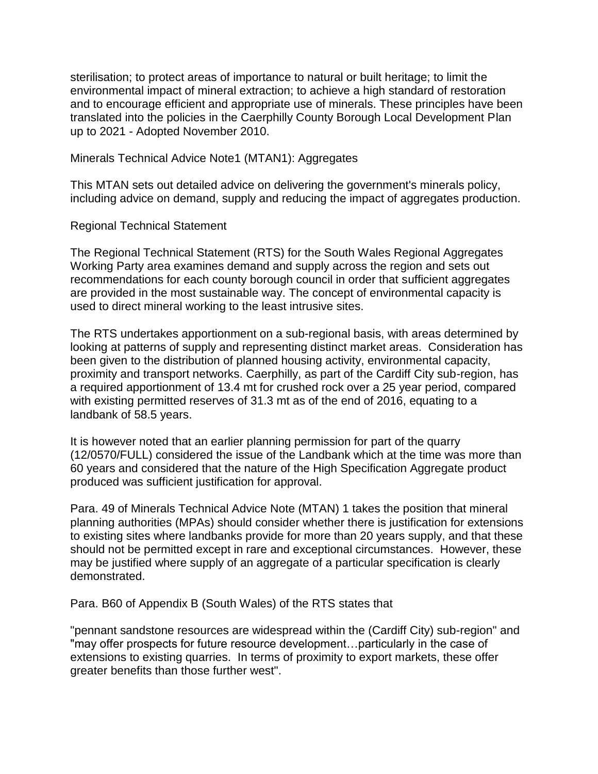sterilisation; to protect areas of importance to natural or built heritage; to limit the environmental impact of mineral extraction; to achieve a high standard of restoration and to encourage efficient and appropriate use of minerals. These principles have been translated into the policies in the Caerphilly County Borough Local Development Plan up to 2021 - Adopted November 2010.

Minerals Technical Advice Note1 (MTAN1): Aggregates

This MTAN sets out detailed advice on delivering the government's minerals policy, including advice on demand, supply and reducing the impact of aggregates production.

Regional Technical Statement

The Regional Technical Statement (RTS) for the South Wales Regional Aggregates Working Party area examines demand and supply across the region and sets out recommendations for each county borough council in order that sufficient aggregates are provided in the most sustainable way. The concept of environmental capacity is used to direct mineral working to the least intrusive sites.

The RTS undertakes apportionment on a sub-regional basis, with areas determined by looking at patterns of supply and representing distinct market areas. Consideration has been given to the distribution of planned housing activity, environmental capacity, proximity and transport networks. Caerphilly, as part of the Cardiff City sub-region, has a required apportionment of 13.4 mt for crushed rock over a 25 year period, compared with existing permitted reserves of 31.3 mt as of the end of 2016, equating to a landbank of 58.5 years.

It is however noted that an earlier planning permission for part of the quarry (12/0570/FULL) considered the issue of the Landbank which at the time was more than 60 years and considered that the nature of the High Specification Aggregate product produced was sufficient justification for approval.

Para. 49 of Minerals Technical Advice Note (MTAN) 1 takes the position that mineral planning authorities (MPAs) should consider whether there is justification for extensions to existing sites where landbanks provide for more than 20 years supply, and that these should not be permitted except in rare and exceptional circumstances. However, these may be justified where supply of an aggregate of a particular specification is clearly demonstrated.

Para. B60 of Appendix B (South Wales) of the RTS states that

"pennant sandstone resources are widespread within the (Cardiff City) sub-region" and "may offer prospects for future resource development…particularly in the case of extensions to existing quarries. In terms of proximity to export markets, these offer greater benefits than those further west".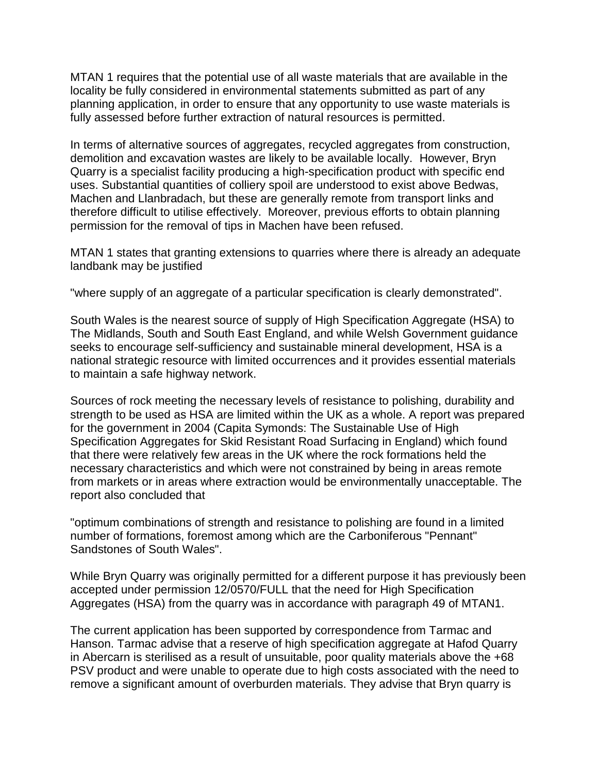MTAN 1 requires that the potential use of all waste materials that are available in the locality be fully considered in environmental statements submitted as part of any planning application, in order to ensure that any opportunity to use waste materials is fully assessed before further extraction of natural resources is permitted.

In terms of alternative sources of aggregates, recycled aggregates from construction, demolition and excavation wastes are likely to be available locally. However, Bryn Quarry is a specialist facility producing a high-specification product with specific end uses. Substantial quantities of colliery spoil are understood to exist above Bedwas, Machen and Llanbradach, but these are generally remote from transport links and therefore difficult to utilise effectively. Moreover, previous efforts to obtain planning permission for the removal of tips in Machen have been refused.

MTAN 1 states that granting extensions to quarries where there is already an adequate landbank may be justified

"where supply of an aggregate of a particular specification is clearly demonstrated".

South Wales is the nearest source of supply of High Specification Aggregate (HSA) to The Midlands, South and South East England, and while Welsh Government guidance seeks to encourage self-sufficiency and sustainable mineral development, HSA is a national strategic resource with limited occurrences and it provides essential materials to maintain a safe highway network.

Sources of rock meeting the necessary levels of resistance to polishing, durability and strength to be used as HSA are limited within the UK as a whole. A report was prepared for the government in 2004 (Capita Symonds: The Sustainable Use of High Specification Aggregates for Skid Resistant Road Surfacing in England) which found that there were relatively few areas in the UK where the rock formations held the necessary characteristics and which were not constrained by being in areas remote from markets or in areas where extraction would be environmentally unacceptable. The report also concluded that

"optimum combinations of strength and resistance to polishing are found in a limited number of formations, foremost among which are the Carboniferous "Pennant" Sandstones of South Wales".

While Bryn Quarry was originally permitted for a different purpose it has previously been accepted under permission 12/0570/FULL that the need for High Specification Aggregates (HSA) from the quarry was in accordance with paragraph 49 of MTAN1.

The current application has been supported by correspondence from Tarmac and Hanson. Tarmac advise that a reserve of high specification aggregate at Hafod Quarry in Abercarn is sterilised as a result of unsuitable, poor quality materials above the +68 PSV product and were unable to operate due to high costs associated with the need to remove a significant amount of overburden materials. They advise that Bryn quarry is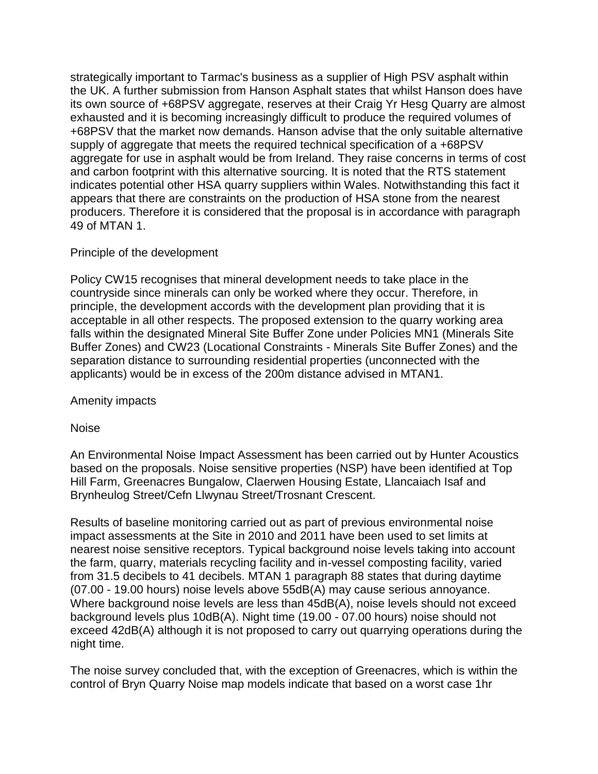strategically important to Tarmac's business as a supplier of High PSV asphalt within the UK. A further submission from Hanson Asphalt states that whilst Hanson does have its own source of +68PSV aggregate, reserves at their Craig Yr Hesg Quarry are almost exhausted and it is becoming increasingly difficult to produce the required volumes of +68PSV that the market now demands. Hanson advise that the only suitable alternative supply of aggregate that meets the required technical specification of a +68PSV aggregate for use in asphalt would be from Ireland. They raise concerns in terms of cost and carbon footprint with this alternative sourcing. It is noted that the RTS statement indicates potential other HSA quarry suppliers within Wales. Notwithstanding this fact it appears that there are constraints on the production of HSA stone from the nearest producers. Therefore it is considered that the proposal is in accordance with paragraph 49 of MTAN 1.

# Principle of the development

Policy CW15 recognises that mineral development needs to take place in the countryside since minerals can only be worked where they occur. Therefore, in principle, the development accords with the development plan providing that it is acceptable in all other respects. The proposed extension to the quarry working area falls within the designated Mineral Site Buffer Zone under Policies MN1 (Minerals Site Buffer Zones) and CW23 (Locational Constraints - Minerals Site Buffer Zones) and the separation distance to surrounding residential properties (unconnected with the applicants) would be in excess of the 200m distance advised in MTAN1.

Amenity impacts

Noise

An Environmental Noise Impact Assessment has been carried out by Hunter Acoustics based on the proposals. Noise sensitive properties (NSP) have been identified at Top Hill Farm, Greenacres Bungalow, Claerwen Housing Estate, Llancaiach Isaf and Brynheulog Street/Cefn Llwynau Street/Trosnant Crescent.

Results of baseline monitoring carried out as part of previous environmental noise impact assessments at the Site in 2010 and 2011 have been used to set limits at nearest noise sensitive receptors. Typical background noise levels taking into account the farm, quarry, materials recycling facility and in-vessel composting facility, varied from 31.5 decibels to 41 decibels. MTAN 1 paragraph 88 states that during daytime (07.00 - 19.00 hours) noise levels above 55dB(A) may cause serious annoyance. Where background noise levels are less than 45dB(A), noise levels should not exceed background levels plus 10dB(A). Night time (19.00 - 07.00 hours) noise should not exceed 42dB(A) although it is not proposed to carry out quarrying operations during the night time.

The noise survey concluded that, with the exception of Greenacres, which is within the control of Bryn Quarry Noise map models indicate that based on a worst case 1hr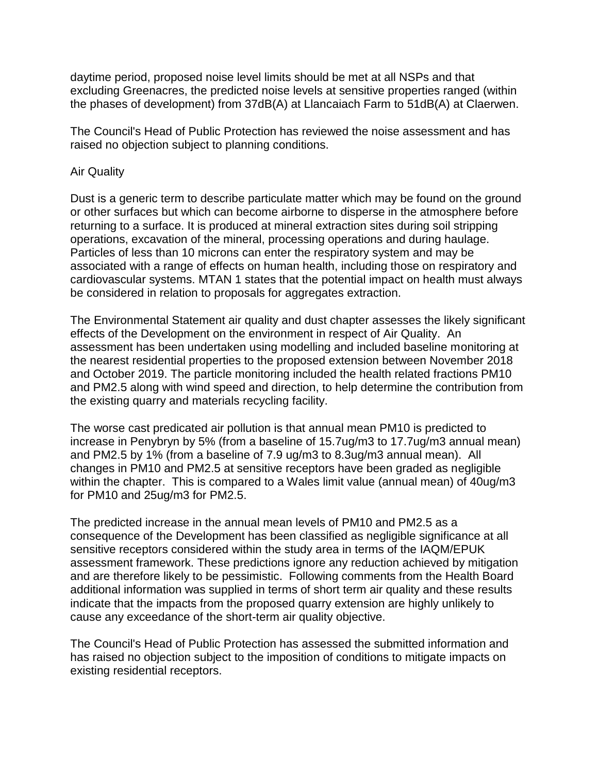daytime period, proposed noise level limits should be met at all NSPs and that excluding Greenacres, the predicted noise levels at sensitive properties ranged (within the phases of development) from 37dB(A) at Llancaiach Farm to 51dB(A) at Claerwen.

The Council's Head of Public Protection has reviewed the noise assessment and has raised no objection subject to planning conditions.

#### Air Quality

Dust is a generic term to describe particulate matter which may be found on the ground or other surfaces but which can become airborne to disperse in the atmosphere before returning to a surface. It is produced at mineral extraction sites during soil stripping operations, excavation of the mineral, processing operations and during haulage. Particles of less than 10 microns can enter the respiratory system and may be associated with a range of effects on human health, including those on respiratory and cardiovascular systems. MTAN 1 states that the potential impact on health must always be considered in relation to proposals for aggregates extraction.

The Environmental Statement air quality and dust chapter assesses the likely significant effects of the Development on the environment in respect of Air Quality. An assessment has been undertaken using modelling and included baseline monitoring at the nearest residential properties to the proposed extension between November 2018 and October 2019. The particle monitoring included the health related fractions PM10 and PM2.5 along with wind speed and direction, to help determine the contribution from the existing quarry and materials recycling facility.

The worse cast predicated air pollution is that annual mean PM10 is predicted to increase in Penybryn by 5% (from a baseline of 15.7ug/m3 to 17.7ug/m3 annual mean) and PM2.5 by 1% (from a baseline of 7.9 ug/m3 to 8.3ug/m3 annual mean). All changes in PM10 and PM2.5 at sensitive receptors have been graded as negligible within the chapter. This is compared to a Wales limit value (annual mean) of 40ug/m3 for PM10 and 25ug/m3 for PM2.5.

The predicted increase in the annual mean levels of PM10 and PM2.5 as a consequence of the Development has been classified as negligible significance at all sensitive receptors considered within the study area in terms of the IAQM/EPUK assessment framework. These predictions ignore any reduction achieved by mitigation and are therefore likely to be pessimistic. Following comments from the Health Board additional information was supplied in terms of short term air quality and these results indicate that the impacts from the proposed quarry extension are highly unlikely to cause any exceedance of the short-term air quality objective.

The Council's Head of Public Protection has assessed the submitted information and has raised no objection subject to the imposition of conditions to mitigate impacts on existing residential receptors.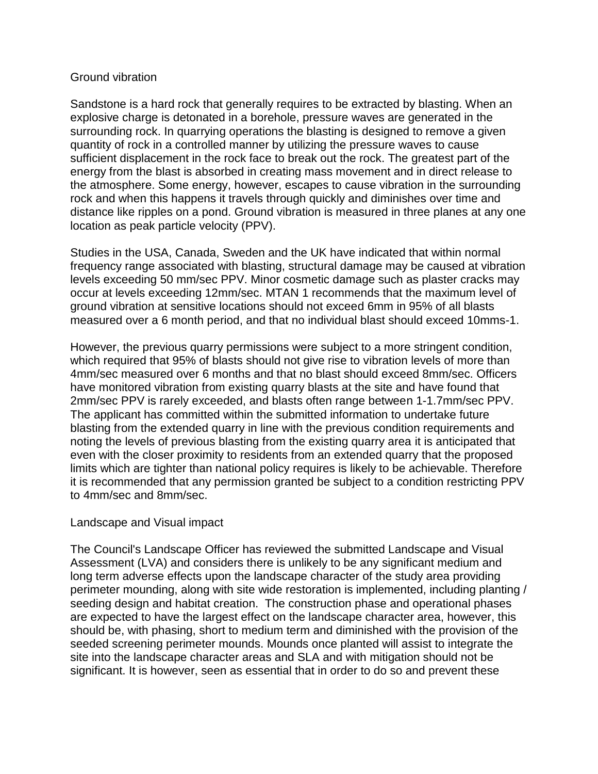#### Ground vibration

Sandstone is a hard rock that generally requires to be extracted by blasting. When an explosive charge is detonated in a borehole, pressure waves are generated in the surrounding rock. In quarrying operations the blasting is designed to remove a given quantity of rock in a controlled manner by utilizing the pressure waves to cause sufficient displacement in the rock face to break out the rock. The greatest part of the energy from the blast is absorbed in creating mass movement and in direct release to the atmosphere. Some energy, however, escapes to cause vibration in the surrounding rock and when this happens it travels through quickly and diminishes over time and distance like ripples on a pond. Ground vibration is measured in three planes at any one location as peak particle velocity (PPV).

Studies in the USA, Canada, Sweden and the UK have indicated that within normal frequency range associated with blasting, structural damage may be caused at vibration levels exceeding 50 mm/sec PPV. Minor cosmetic damage such as plaster cracks may occur at levels exceeding 12mm/sec. MTAN 1 recommends that the maximum level of ground vibration at sensitive locations should not exceed 6mm in 95% of all blasts measured over a 6 month period, and that no individual blast should exceed 10mms-1.

However, the previous quarry permissions were subject to a more stringent condition, which required that 95% of blasts should not give rise to vibration levels of more than 4mm/sec measured over 6 months and that no blast should exceed 8mm/sec. Officers have monitored vibration from existing quarry blasts at the site and have found that 2mm/sec PPV is rarely exceeded, and blasts often range between 1-1.7mm/sec PPV. The applicant has committed within the submitted information to undertake future blasting from the extended quarry in line with the previous condition requirements and noting the levels of previous blasting from the existing quarry area it is anticipated that even with the closer proximity to residents from an extended quarry that the proposed limits which are tighter than national policy requires is likely to be achievable. Therefore it is recommended that any permission granted be subject to a condition restricting PPV to 4mm/sec and 8mm/sec.

#### Landscape and Visual impact

The Council's Landscape Officer has reviewed the submitted Landscape and Visual Assessment (LVA) and considers there is unlikely to be any significant medium and long term adverse effects upon the landscape character of the study area providing perimeter mounding, along with site wide restoration is implemented, including planting / seeding design and habitat creation. The construction phase and operational phases are expected to have the largest effect on the landscape character area, however, this should be, with phasing, short to medium term and diminished with the provision of the seeded screening perimeter mounds. Mounds once planted will assist to integrate the site into the landscape character areas and SLA and with mitigation should not be significant. It is however, seen as essential that in order to do so and prevent these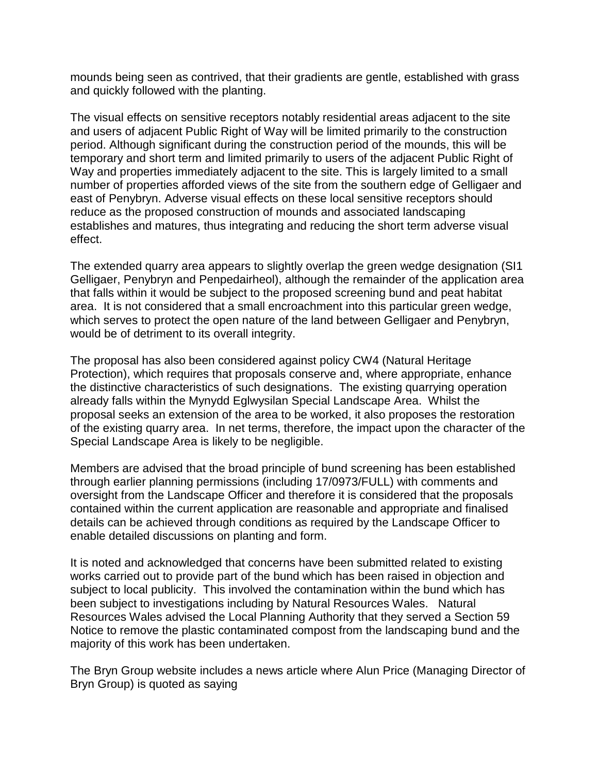mounds being seen as contrived, that their gradients are gentle, established with grass and quickly followed with the planting.

The visual effects on sensitive receptors notably residential areas adjacent to the site and users of adjacent Public Right of Way will be limited primarily to the construction period. Although significant during the construction period of the mounds, this will be temporary and short term and limited primarily to users of the adjacent Public Right of Way and properties immediately adjacent to the site. This is largely limited to a small number of properties afforded views of the site from the southern edge of Gelligaer and east of Penybryn. Adverse visual effects on these local sensitive receptors should reduce as the proposed construction of mounds and associated landscaping establishes and matures, thus integrating and reducing the short term adverse visual effect.

The extended quarry area appears to slightly overlap the green wedge designation (SI1 Gelligaer, Penybryn and Penpedairheol), although the remainder of the application area that falls within it would be subject to the proposed screening bund and peat habitat area. It is not considered that a small encroachment into this particular green wedge, which serves to protect the open nature of the land between Gelligaer and Penybryn, would be of detriment to its overall integrity.

The proposal has also been considered against policy CW4 (Natural Heritage Protection), which requires that proposals conserve and, where appropriate, enhance the distinctive characteristics of such designations. The existing quarrying operation already falls within the Mynydd Eglwysilan Special Landscape Area. Whilst the proposal seeks an extension of the area to be worked, it also proposes the restoration of the existing quarry area. In net terms, therefore, the impact upon the character of the Special Landscape Area is likely to be negligible.

Members are advised that the broad principle of bund screening has been established through earlier planning permissions (including 17/0973/FULL) with comments and oversight from the Landscape Officer and therefore it is considered that the proposals contained within the current application are reasonable and appropriate and finalised details can be achieved through conditions as required by the Landscape Officer to enable detailed discussions on planting and form.

It is noted and acknowledged that concerns have been submitted related to existing works carried out to provide part of the bund which has been raised in objection and subject to local publicity. This involved the contamination within the bund which has been subject to investigations including by Natural Resources Wales. Natural Resources Wales advised the Local Planning Authority that they served a Section 59 Notice to remove the plastic contaminated compost from the landscaping bund and the majority of this work has been undertaken.

The Bryn Group website includes a news article where Alun Price (Managing Director of Bryn Group) is quoted as saying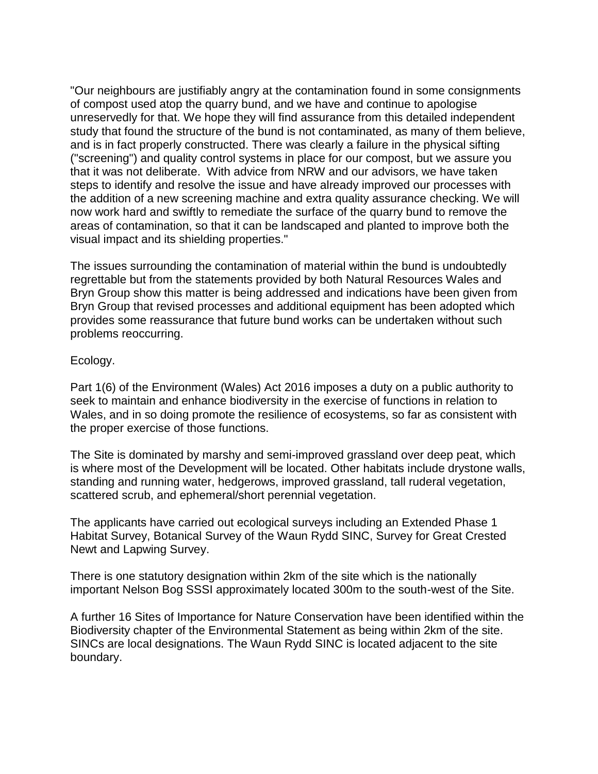"Our neighbours are justifiably angry at the contamination found in some consignments of compost used atop the quarry bund, and we have and continue to apologise unreservedly for that. We hope they will find assurance from this detailed independent study that found the structure of the bund is not contaminated, as many of them believe, and is in fact properly constructed. There was clearly a failure in the physical sifting ("screening") and quality control systems in place for our compost, but we assure you that it was not deliberate. With advice from NRW and our advisors, we have taken steps to identify and resolve the issue and have already improved our processes with the addition of a new screening machine and extra quality assurance checking. We will now work hard and swiftly to remediate the surface of the quarry bund to remove the areas of contamination, so that it can be landscaped and planted to improve both the visual impact and its shielding properties."

The issues surrounding the contamination of material within the bund is undoubtedly regrettable but from the statements provided by both Natural Resources Wales and Bryn Group show this matter is being addressed and indications have been given from Bryn Group that revised processes and additional equipment has been adopted which provides some reassurance that future bund works can be undertaken without such problems reoccurring.

#### Ecology.

Part 1(6) of the Environment (Wales) Act 2016 imposes a duty on a public authority to seek to maintain and enhance biodiversity in the exercise of functions in relation to Wales, and in so doing promote the resilience of ecosystems, so far as consistent with the proper exercise of those functions.

The Site is dominated by marshy and semi-improved grassland over deep peat, which is where most of the Development will be located. Other habitats include drystone walls, standing and running water, hedgerows, improved grassland, tall ruderal vegetation, scattered scrub, and ephemeral/short perennial vegetation.

The applicants have carried out ecological surveys including an Extended Phase 1 Habitat Survey, Botanical Survey of the Waun Rydd SINC, Survey for Great Crested Newt and Lapwing Survey.

There is one statutory designation within 2km of the site which is the nationally important Nelson Bog SSSI approximately located 300m to the south-west of the Site.

A further 16 Sites of Importance for Nature Conservation have been identified within the Biodiversity chapter of the Environmental Statement as being within 2km of the site. SINCs are local designations. The Waun Rydd SINC is located adjacent to the site boundary.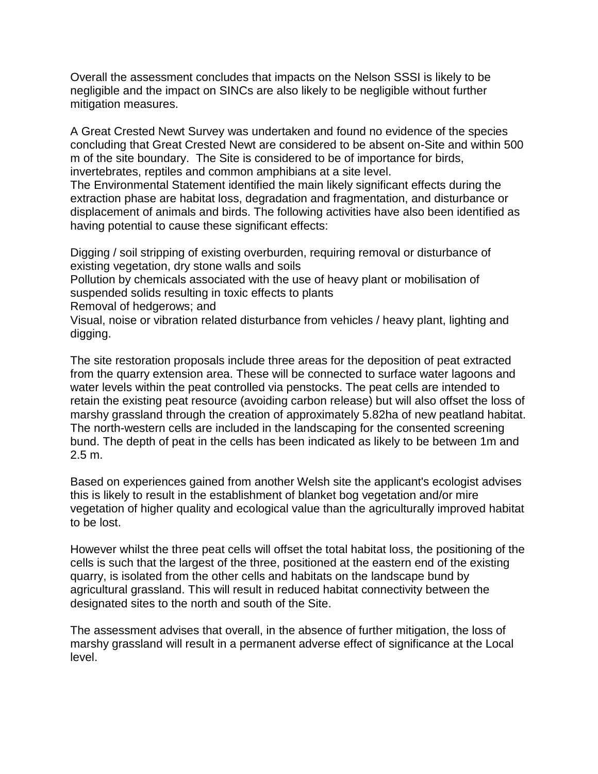Overall the assessment concludes that impacts on the Nelson SSSI is likely to be negligible and the impact on SINCs are also likely to be negligible without further mitigation measures.

A Great Crested Newt Survey was undertaken and found no evidence of the species concluding that Great Crested Newt are considered to be absent on-Site and within 500 m of the site boundary. The Site is considered to be of importance for birds, invertebrates, reptiles and common amphibians at a site level.

The Environmental Statement identified the main likely significant effects during the extraction phase are habitat loss, degradation and fragmentation, and disturbance or displacement of animals and birds. The following activities have also been identified as having potential to cause these significant effects:

Digging / soil stripping of existing overburden, requiring removal or disturbance of existing vegetation, dry stone walls and soils

Pollution by chemicals associated with the use of heavy plant or mobilisation of suspended solids resulting in toxic effects to plants

Removal of hedgerows; and

Visual, noise or vibration related disturbance from vehicles / heavy plant, lighting and digging.

The site restoration proposals include three areas for the deposition of peat extracted from the quarry extension area. These will be connected to surface water lagoons and water levels within the peat controlled via penstocks. The peat cells are intended to retain the existing peat resource (avoiding carbon release) but will also offset the loss of marshy grassland through the creation of approximately 5.82ha of new peatland habitat. The north-western cells are included in the landscaping for the consented screening bund. The depth of peat in the cells has been indicated as likely to be between 1m and 2.5 m.

Based on experiences gained from another Welsh site the applicant's ecologist advises this is likely to result in the establishment of blanket bog vegetation and/or mire vegetation of higher quality and ecological value than the agriculturally improved habitat to be lost.

However whilst the three peat cells will offset the total habitat loss, the positioning of the cells is such that the largest of the three, positioned at the eastern end of the existing quarry, is isolated from the other cells and habitats on the landscape bund by agricultural grassland. This will result in reduced habitat connectivity between the designated sites to the north and south of the Site.

The assessment advises that overall, in the absence of further mitigation, the loss of marshy grassland will result in a permanent adverse effect of significance at the Local level.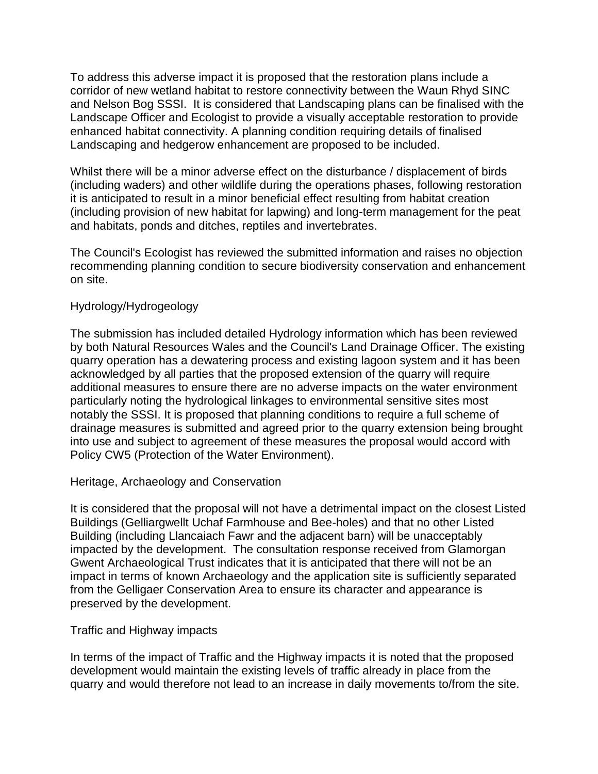To address this adverse impact it is proposed that the restoration plans include a corridor of new wetland habitat to restore connectivity between the Waun Rhyd SINC and Nelson Bog SSSI. It is considered that Landscaping plans can be finalised with the Landscape Officer and Ecologist to provide a visually acceptable restoration to provide enhanced habitat connectivity. A planning condition requiring details of finalised Landscaping and hedgerow enhancement are proposed to be included.

Whilst there will be a minor adverse effect on the disturbance / displacement of birds (including waders) and other wildlife during the operations phases, following restoration it is anticipated to result in a minor beneficial effect resulting from habitat creation (including provision of new habitat for lapwing) and long-term management for the peat and habitats, ponds and ditches, reptiles and invertebrates.

The Council's Ecologist has reviewed the submitted information and raises no objection recommending planning condition to secure biodiversity conservation and enhancement on site.

#### Hydrology/Hydrogeology

The submission has included detailed Hydrology information which has been reviewed by both Natural Resources Wales and the Council's Land Drainage Officer. The existing quarry operation has a dewatering process and existing lagoon system and it has been acknowledged by all parties that the proposed extension of the quarry will require additional measures to ensure there are no adverse impacts on the water environment particularly noting the hydrological linkages to environmental sensitive sites most notably the SSSI. It is proposed that planning conditions to require a full scheme of drainage measures is submitted and agreed prior to the quarry extension being brought into use and subject to agreement of these measures the proposal would accord with Policy CW5 (Protection of the Water Environment).

#### Heritage, Archaeology and Conservation

It is considered that the proposal will not have a detrimental impact on the closest Listed Buildings (Gelliargwellt Uchaf Farmhouse and Bee-holes) and that no other Listed Building (including Llancaiach Fawr and the adjacent barn) will be unacceptably impacted by the development. The consultation response received from Glamorgan Gwent Archaeological Trust indicates that it is anticipated that there will not be an impact in terms of known Archaeology and the application site is sufficiently separated from the Gelligaer Conservation Area to ensure its character and appearance is preserved by the development.

#### Traffic and Highway impacts

In terms of the impact of Traffic and the Highway impacts it is noted that the proposed development would maintain the existing levels of traffic already in place from the quarry and would therefore not lead to an increase in daily movements to/from the site.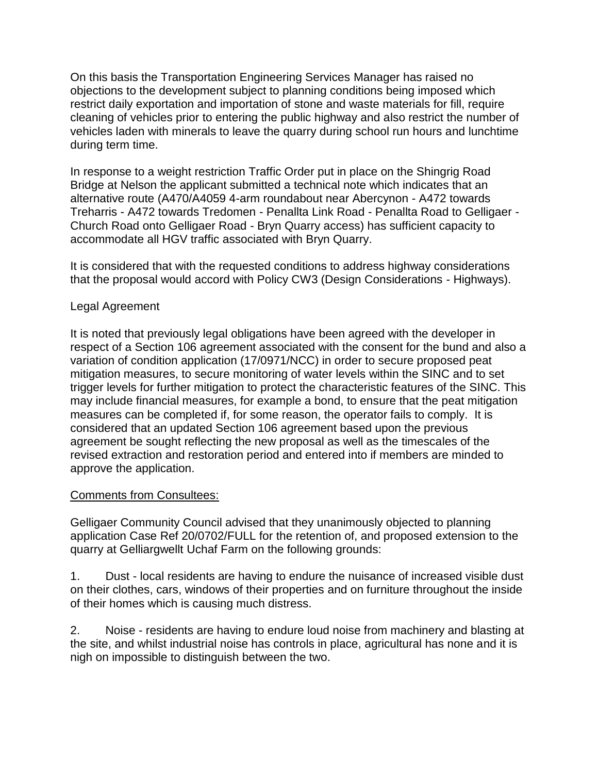On this basis the Transportation Engineering Services Manager has raised no objections to the development subject to planning conditions being imposed which restrict daily exportation and importation of stone and waste materials for fill, require cleaning of vehicles prior to entering the public highway and also restrict the number of vehicles laden with minerals to leave the quarry during school run hours and lunchtime during term time.

In response to a weight restriction Traffic Order put in place on the Shingrig Road Bridge at Nelson the applicant submitted a technical note which indicates that an alternative route (A470/A4059 4-arm roundabout near Abercynon - A472 towards Treharris - A472 towards Tredomen - Penallta Link Road - Penallta Road to Gelligaer - Church Road onto Gelligaer Road - Bryn Quarry access) has sufficient capacity to accommodate all HGV traffic associated with Bryn Quarry.

It is considered that with the requested conditions to address highway considerations that the proposal would accord with Policy CW3 (Design Considerations - Highways).

# Legal Agreement

It is noted that previously legal obligations have been agreed with the developer in respect of a Section 106 agreement associated with the consent for the bund and also a variation of condition application (17/0971/NCC) in order to secure proposed peat mitigation measures, to secure monitoring of water levels within the SINC and to set trigger levels for further mitigation to protect the characteristic features of the SINC. This may include financial measures, for example a bond, to ensure that the peat mitigation measures can be completed if, for some reason, the operator fails to comply. It is considered that an updated Section 106 agreement based upon the previous agreement be sought reflecting the new proposal as well as the timescales of the revised extraction and restoration period and entered into if members are minded to approve the application.

### Comments from Consultees:

Gelligaer Community Council advised that they unanimously objected to planning application Case Ref 20/0702/FULL for the retention of, and proposed extension to the quarry at Gelliargwellt Uchaf Farm on the following grounds:

1. Dust - local residents are having to endure the nuisance of increased visible dust on their clothes, cars, windows of their properties and on furniture throughout the inside of their homes which is causing much distress.

2. Noise - residents are having to endure loud noise from machinery and blasting at the site, and whilst industrial noise has controls in place, agricultural has none and it is nigh on impossible to distinguish between the two.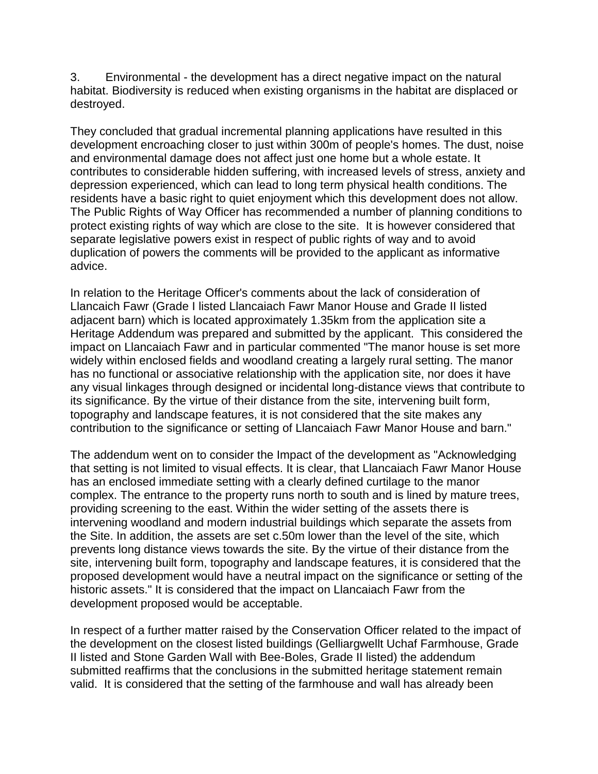3. Environmental - the development has a direct negative impact on the natural habitat. Biodiversity is reduced when existing organisms in the habitat are displaced or destroyed.

They concluded that gradual incremental planning applications have resulted in this development encroaching closer to just within 300m of people's homes. The dust, noise and environmental damage does not affect just one home but a whole estate. It contributes to considerable hidden suffering, with increased levels of stress, anxiety and depression experienced, which can lead to long term physical health conditions. The residents have a basic right to quiet enjoyment which this development does not allow. The Public Rights of Way Officer has recommended a number of planning conditions to protect existing rights of way which are close to the site. It is however considered that separate legislative powers exist in respect of public rights of way and to avoid duplication of powers the comments will be provided to the applicant as informative advice.

In relation to the Heritage Officer's comments about the lack of consideration of Llancaich Fawr (Grade I listed Llancaiach Fawr Manor House and Grade II listed adjacent barn) which is located approximately 1.35km from the application site a Heritage Addendum was prepared and submitted by the applicant. This considered the impact on Llancaiach Fawr and in particular commented "The manor house is set more widely within enclosed fields and woodland creating a largely rural setting. The manor has no functional or associative relationship with the application site, nor does it have any visual linkages through designed or incidental long-distance views that contribute to its significance. By the virtue of their distance from the site, intervening built form, topography and landscape features, it is not considered that the site makes any contribution to the significance or setting of Llancaiach Fawr Manor House and barn."

The addendum went on to consider the Impact of the development as "Acknowledging that setting is not limited to visual effects. It is clear, that Llancaiach Fawr Manor House has an enclosed immediate setting with a clearly defined curtilage to the manor complex. The entrance to the property runs north to south and is lined by mature trees, providing screening to the east. Within the wider setting of the assets there is intervening woodland and modern industrial buildings which separate the assets from the Site. In addition, the assets are set c.50m lower than the level of the site, which prevents long distance views towards the site. By the virtue of their distance from the site, intervening built form, topography and landscape features, it is considered that the proposed development would have a neutral impact on the significance or setting of the historic assets." It is considered that the impact on Llancaiach Fawr from the development proposed would be acceptable.

In respect of a further matter raised by the Conservation Officer related to the impact of the development on the closest listed buildings (Gelliargwellt Uchaf Farmhouse, Grade II listed and Stone Garden Wall with Bee-Boles, Grade II listed) the addendum submitted reaffirms that the conclusions in the submitted heritage statement remain valid. It is considered that the setting of the farmhouse and wall has already been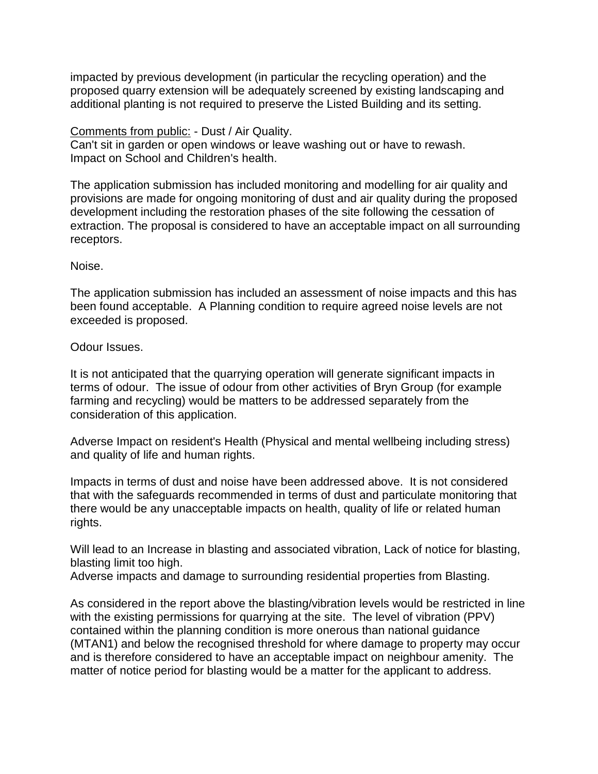impacted by previous development (in particular the recycling operation) and the proposed quarry extension will be adequately screened by existing landscaping and additional planting is not required to preserve the Listed Building and its setting.

#### Comments from public: - Dust / Air Quality.

Can't sit in garden or open windows or leave washing out or have to rewash. Impact on School and Children's health.

The application submission has included monitoring and modelling for air quality and provisions are made for ongoing monitoring of dust and air quality during the proposed development including the restoration phases of the site following the cessation of extraction. The proposal is considered to have an acceptable impact on all surrounding receptors.

#### Noise.

The application submission has included an assessment of noise impacts and this has been found acceptable. A Planning condition to require agreed noise levels are not exceeded is proposed.

### Odour Issues.

It is not anticipated that the quarrying operation will generate significant impacts in terms of odour. The issue of odour from other activities of Bryn Group (for example farming and recycling) would be matters to be addressed separately from the consideration of this application.

Adverse Impact on resident's Health (Physical and mental wellbeing including stress) and quality of life and human rights.

Impacts in terms of dust and noise have been addressed above. It is not considered that with the safeguards recommended in terms of dust and particulate monitoring that there would be any unacceptable impacts on health, quality of life or related human rights.

Will lead to an Increase in blasting and associated vibration, Lack of notice for blasting, blasting limit too high.

Adverse impacts and damage to surrounding residential properties from Blasting.

As considered in the report above the blasting/vibration levels would be restricted in line with the existing permissions for quarrying at the site. The level of vibration (PPV) contained within the planning condition is more onerous than national guidance (MTAN1) and below the recognised threshold for where damage to property may occur and is therefore considered to have an acceptable impact on neighbour amenity. The matter of notice period for blasting would be a matter for the applicant to address.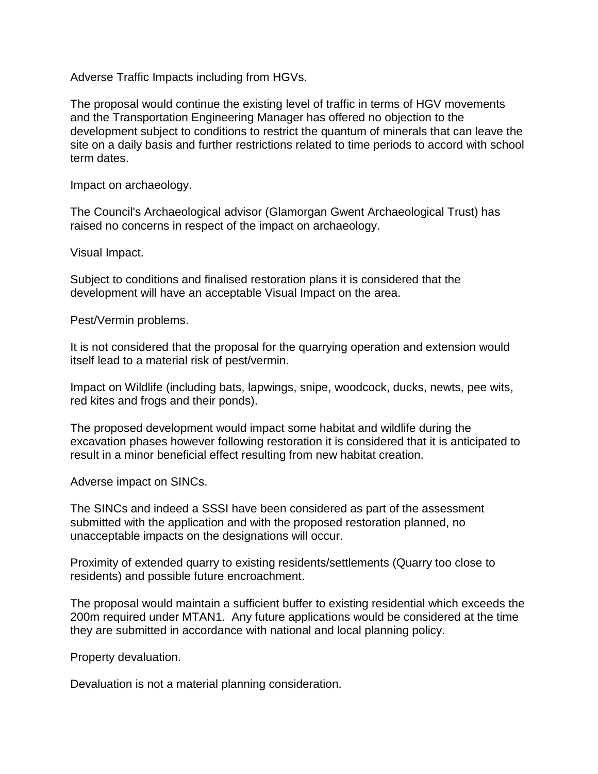Adverse Traffic Impacts including from HGVs.

The proposal would continue the existing level of traffic in terms of HGV movements and the Transportation Engineering Manager has offered no objection to the development subject to conditions to restrict the quantum of minerals that can leave the site on a daily basis and further restrictions related to time periods to accord with school term dates.

Impact on archaeology.

The Council's Archaeological advisor (Glamorgan Gwent Archaeological Trust) has raised no concerns in respect of the impact on archaeology.

Visual Impact.

Subject to conditions and finalised restoration plans it is considered that the development will have an acceptable Visual Impact on the area.

Pest/Vermin problems.

It is not considered that the proposal for the quarrying operation and extension would itself lead to a material risk of pest/vermin.

Impact on Wildlife (including bats, lapwings, snipe, woodcock, ducks, newts, pee wits, red kites and frogs and their ponds).

The proposed development would impact some habitat and wildlife during the excavation phases however following restoration it is considered that it is anticipated to result in a minor beneficial effect resulting from new habitat creation.

Adverse impact on SINCs.

The SINCs and indeed a SSSI have been considered as part of the assessment submitted with the application and with the proposed restoration planned, no unacceptable impacts on the designations will occur.

Proximity of extended quarry to existing residents/settlements (Quarry too close to residents) and possible future encroachment.

The proposal would maintain a sufficient buffer to existing residential which exceeds the 200m required under MTAN1. Any future applications would be considered at the time they are submitted in accordance with national and local planning policy.

Property devaluation.

Devaluation is not a material planning consideration.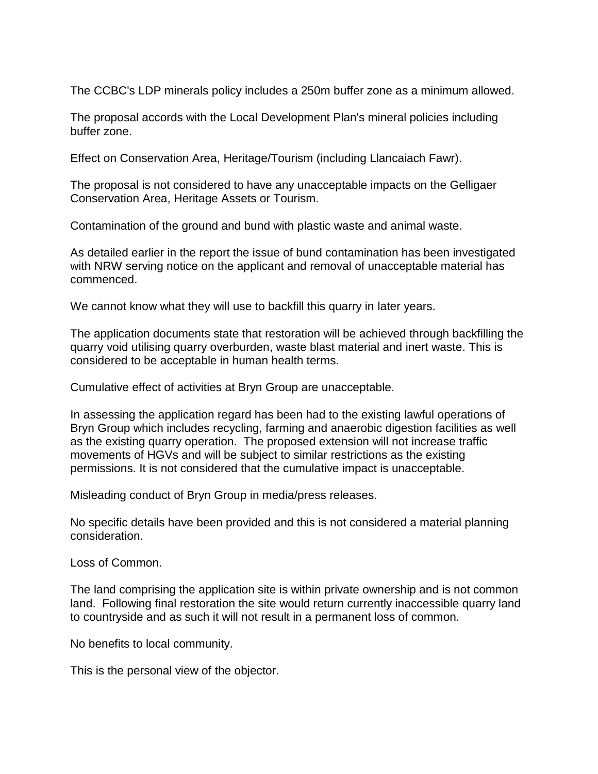The CCBC's LDP minerals policy includes a 250m buffer zone as a minimum allowed.

The proposal accords with the Local Development Plan's mineral policies including buffer zone.

Effect on Conservation Area, Heritage/Tourism (including Llancaiach Fawr).

The proposal is not considered to have any unacceptable impacts on the Gelligaer Conservation Area, Heritage Assets or Tourism.

Contamination of the ground and bund with plastic waste and animal waste.

As detailed earlier in the report the issue of bund contamination has been investigated with NRW serving notice on the applicant and removal of unacceptable material has commenced.

We cannot know what they will use to backfill this quarry in later years.

The application documents state that restoration will be achieved through backfilling the quarry void utilising quarry overburden, waste blast material and inert waste. This is considered to be acceptable in human health terms.

Cumulative effect of activities at Bryn Group are unacceptable.

In assessing the application regard has been had to the existing lawful operations of Bryn Group which includes recycling, farming and anaerobic digestion facilities as well as the existing quarry operation. The proposed extension will not increase traffic movements of HGVs and will be subject to similar restrictions as the existing permissions. It is not considered that the cumulative impact is unacceptable.

Misleading conduct of Bryn Group in media/press releases.

No specific details have been provided and this is not considered a material planning consideration.

Loss of Common.

The land comprising the application site is within private ownership and is not common land. Following final restoration the site would return currently inaccessible quarry land to countryside and as such it will not result in a permanent loss of common.

No benefits to local community.

This is the personal view of the objector.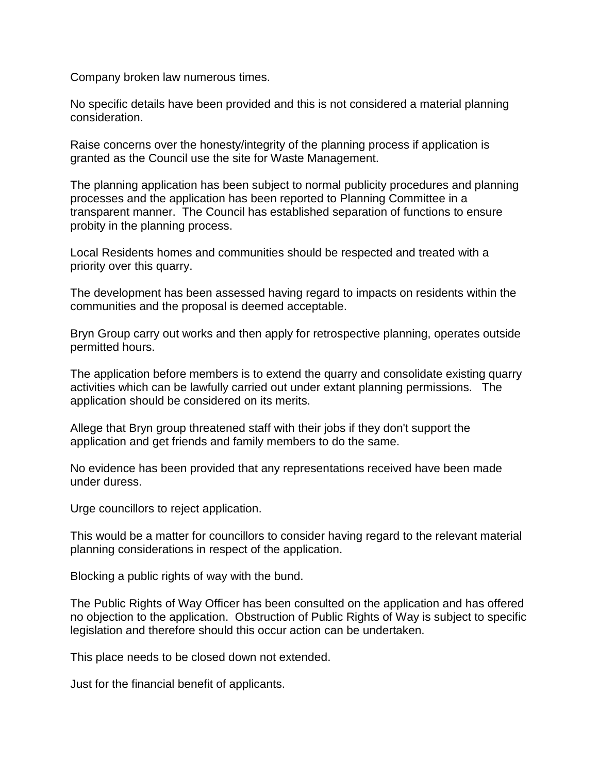Company broken law numerous times.

No specific details have been provided and this is not considered a material planning consideration.

Raise concerns over the honesty/integrity of the planning process if application is granted as the Council use the site for Waste Management.

The planning application has been subject to normal publicity procedures and planning processes and the application has been reported to Planning Committee in a transparent manner. The Council has established separation of functions to ensure probity in the planning process.

Local Residents homes and communities should be respected and treated with a priority over this quarry.

The development has been assessed having regard to impacts on residents within the communities and the proposal is deemed acceptable.

Bryn Group carry out works and then apply for retrospective planning, operates outside permitted hours.

The application before members is to extend the quarry and consolidate existing quarry activities which can be lawfully carried out under extant planning permissions. The application should be considered on its merits.

Allege that Bryn group threatened staff with their jobs if they don't support the application and get friends and family members to do the same.

No evidence has been provided that any representations received have been made under duress.

Urge councillors to reject application.

This would be a matter for councillors to consider having regard to the relevant material planning considerations in respect of the application.

Blocking a public rights of way with the bund.

The Public Rights of Way Officer has been consulted on the application and has offered no objection to the application. Obstruction of Public Rights of Way is subject to specific legislation and therefore should this occur action can be undertaken.

This place needs to be closed down not extended.

Just for the financial benefit of applicants.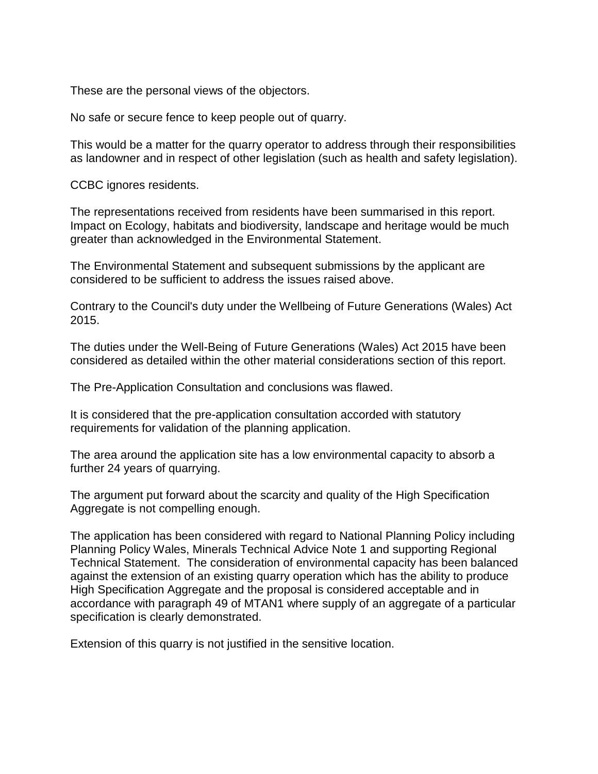These are the personal views of the objectors.

No safe or secure fence to keep people out of quarry.

This would be a matter for the quarry operator to address through their responsibilities as landowner and in respect of other legislation (such as health and safety legislation).

CCBC ignores residents.

The representations received from residents have been summarised in this report. Impact on Ecology, habitats and biodiversity, landscape and heritage would be much greater than acknowledged in the Environmental Statement.

The Environmental Statement and subsequent submissions by the applicant are considered to be sufficient to address the issues raised above.

Contrary to the Council's duty under the Wellbeing of Future Generations (Wales) Act 2015.

The duties under the Well-Being of Future Generations (Wales) Act 2015 have been considered as detailed within the other material considerations section of this report.

The Pre-Application Consultation and conclusions was flawed.

It is considered that the pre-application consultation accorded with statutory requirements for validation of the planning application.

The area around the application site has a low environmental capacity to absorb a further 24 years of quarrying.

The argument put forward about the scarcity and quality of the High Specification Aggregate is not compelling enough.

The application has been considered with regard to National Planning Policy including Planning Policy Wales, Minerals Technical Advice Note 1 and supporting Regional Technical Statement. The consideration of environmental capacity has been balanced against the extension of an existing quarry operation which has the ability to produce High Specification Aggregate and the proposal is considered acceptable and in accordance with paragraph 49 of MTAN1 where supply of an aggregate of a particular specification is clearly demonstrated.

Extension of this quarry is not justified in the sensitive location.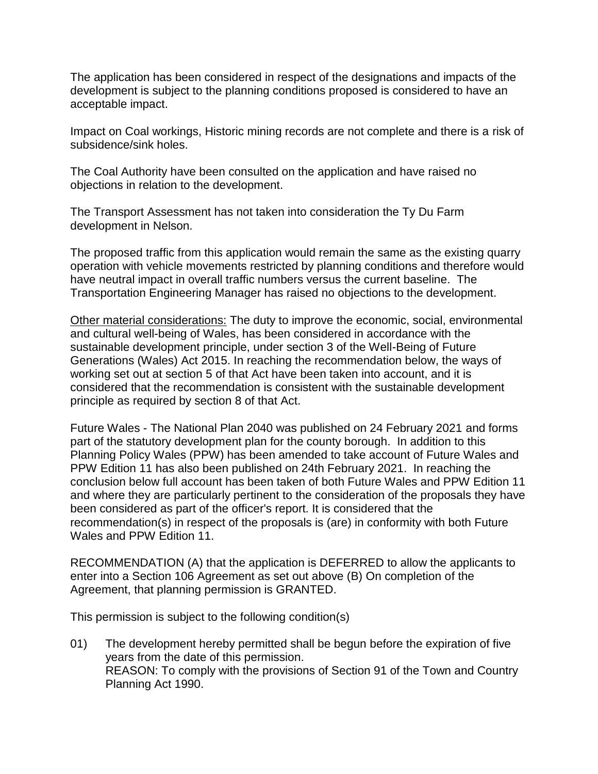The application has been considered in respect of the designations and impacts of the development is subject to the planning conditions proposed is considered to have an acceptable impact.

Impact on Coal workings, Historic mining records are not complete and there is a risk of subsidence/sink holes.

The Coal Authority have been consulted on the application and have raised no objections in relation to the development.

The Transport Assessment has not taken into consideration the Ty Du Farm development in Nelson.

The proposed traffic from this application would remain the same as the existing quarry operation with vehicle movements restricted by planning conditions and therefore would have neutral impact in overall traffic numbers versus the current baseline. The Transportation Engineering Manager has raised no objections to the development.

Other material considerations: The duty to improve the economic, social, environmental and cultural well-being of Wales, has been considered in accordance with the sustainable development principle, under section 3 of the Well-Being of Future Generations (Wales) Act 2015. In reaching the recommendation below, the ways of working set out at section 5 of that Act have been taken into account, and it is considered that the recommendation is consistent with the sustainable development principle as required by section 8 of that Act.

Future Wales - The National Plan 2040 was published on 24 February 2021 and forms part of the statutory development plan for the county borough. In addition to this Planning Policy Wales (PPW) has been amended to take account of Future Wales and PPW Edition 11 has also been published on 24th February 2021. In reaching the conclusion below full account has been taken of both Future Wales and PPW Edition 11 and where they are particularly pertinent to the consideration of the proposals they have been considered as part of the officer's report. It is considered that the recommendation(s) in respect of the proposals is (are) in conformity with both Future Wales and PPW Edition 11.

RECOMMENDATION (A) that the application is DEFERRED to allow the applicants to enter into a Section 106 Agreement as set out above (B) On completion of the Agreement, that planning permission is GRANTED.

This permission is subject to the following condition(s)

01) The development hereby permitted shall be begun before the expiration of five years from the date of this permission. REASON: To comply with the provisions of Section 91 of the Town and Country Planning Act 1990.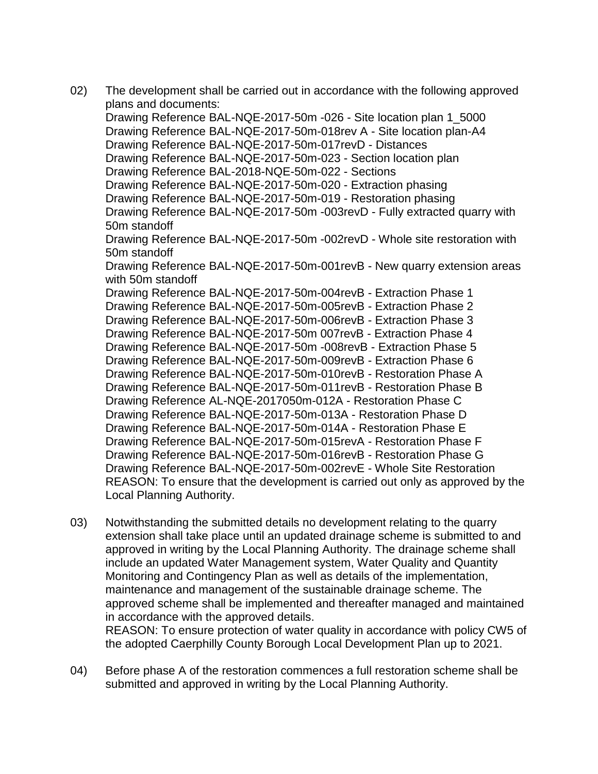- 02) The development shall be carried out in accordance with the following approved plans and documents: Drawing Reference BAL-NQE-2017-50m -026 - Site location plan 1\_5000 Drawing Reference BAL-NQE-2017-50m-018rev A - Site location plan-A4 Drawing Reference BAL-NQE-2017-50m-017revD - Distances Drawing Reference BAL-NQE-2017-50m-023 - Section location plan Drawing Reference BAL-2018-NQE-50m-022 - Sections Drawing Reference BAL-NQE-2017-50m-020 - Extraction phasing Drawing Reference BAL-NQE-2017-50m-019 - Restoration phasing Drawing Reference BAL-NQE-2017-50m -003revD - Fully extracted quarry with 50m standoff Drawing Reference BAL-NQE-2017-50m -002revD - Whole site restoration with 50m standoff Drawing Reference BAL-NQE-2017-50m-001revB - New quarry extension areas with 50m standoff Drawing Reference BAL-NQE-2017-50m-004revB - Extraction Phase 1 Drawing Reference BAL-NQE-2017-50m-005revB - Extraction Phase 2 Drawing Reference BAL-NQE-2017-50m-006revB - Extraction Phase 3 Drawing Reference BAL-NQE-2017-50m 007revB - Extraction Phase 4 Drawing Reference BAL-NQE-2017-50m -008revB - Extraction Phase 5 Drawing Reference BAL-NQE-2017-50m-009revB - Extraction Phase 6 Drawing Reference BAL-NQE-2017-50m-010revB - Restoration Phase A Drawing Reference BAL-NQE-2017-50m-011revB - Restoration Phase B Drawing Reference AL-NQE-2017050m-012A - Restoration Phase C Drawing Reference BAL-NQE-2017-50m-013A - Restoration Phase D Drawing Reference BAL-NQE-2017-50m-014A - Restoration Phase E Drawing Reference BAL-NQE-2017-50m-015revA - Restoration Phase F Drawing Reference BAL-NQE-2017-50m-016revB - Restoration Phase G Drawing Reference BAL-NQE-2017-50m-002revE - Whole Site Restoration REASON: To ensure that the development is carried out only as approved by the Local Planning Authority.
- 03) Notwithstanding the submitted details no development relating to the quarry extension shall take place until an updated drainage scheme is submitted to and approved in writing by the Local Planning Authority. The drainage scheme shall include an updated Water Management system, Water Quality and Quantity Monitoring and Contingency Plan as well as details of the implementation, maintenance and management of the sustainable drainage scheme. The approved scheme shall be implemented and thereafter managed and maintained in accordance with the approved details. REASON: To ensure protection of water quality in accordance with policy CW5 of the adopted Caerphilly County Borough Local Development Plan up to 2021.
- 04) Before phase A of the restoration commences a full restoration scheme shall be submitted and approved in writing by the Local Planning Authority.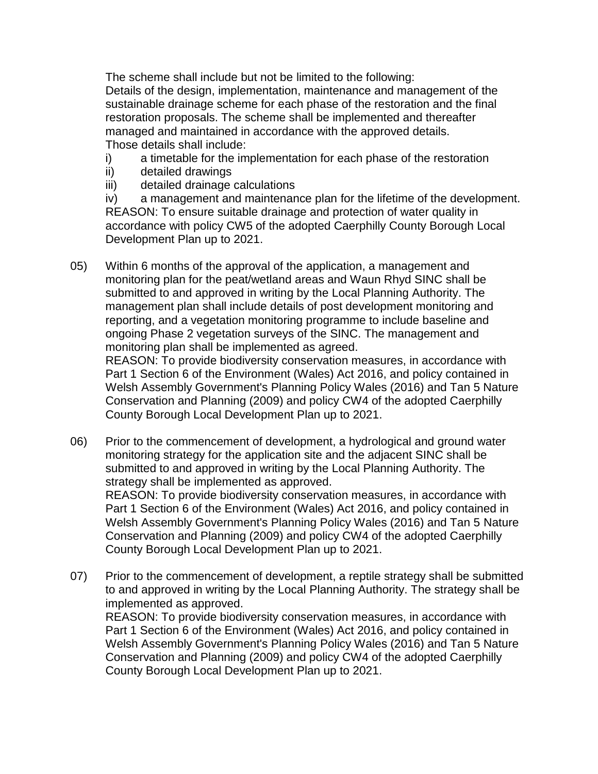The scheme shall include but not be limited to the following: Details of the design, implementation, maintenance and management of the sustainable drainage scheme for each phase of the restoration and the final restoration proposals. The scheme shall be implemented and thereafter managed and maintained in accordance with the approved details. Those details shall include:

- i) a timetable for the implementation for each phase of the restoration
- ii) detailed drawings
- iii) detailed drainage calculations

iv) a management and maintenance plan for the lifetime of the development. REASON: To ensure suitable drainage and protection of water quality in accordance with policy CW5 of the adopted Caerphilly County Borough Local Development Plan up to 2021.

05) Within 6 months of the approval of the application, a management and monitoring plan for the peat/wetland areas and Waun Rhyd SINC shall be submitted to and approved in writing by the Local Planning Authority. The management plan shall include details of post development monitoring and reporting, and a vegetation monitoring programme to include baseline and ongoing Phase 2 vegetation surveys of the SINC. The management and monitoring plan shall be implemented as agreed.

REASON: To provide biodiversity conservation measures, in accordance with Part 1 Section 6 of the Environment (Wales) Act 2016, and policy contained in Welsh Assembly Government's Planning Policy Wales (2016) and Tan 5 Nature Conservation and Planning (2009) and policy CW4 of the adopted Caerphilly County Borough Local Development Plan up to 2021.

06) Prior to the commencement of development, a hydrological and ground water monitoring strategy for the application site and the adjacent SINC shall be submitted to and approved in writing by the Local Planning Authority. The strategy shall be implemented as approved. REASON: To provide biodiversity conservation measures, in accordance with Part 1 Section 6 of the Environment (Wales) Act 2016, and policy contained in Welsh Assembly Government's Planning Policy Wales (2016) and Tan 5 Nature Conservation and Planning (2009) and policy CW4 of the adopted Caerphilly

County Borough Local Development Plan up to 2021.

07) Prior to the commencement of development, a reptile strategy shall be submitted to and approved in writing by the Local Planning Authority. The strategy shall be implemented as approved. REASON: To provide biodiversity conservation measures, in accordance with

Part 1 Section 6 of the Environment (Wales) Act 2016, and policy contained in Welsh Assembly Government's Planning Policy Wales (2016) and Tan 5 Nature Conservation and Planning (2009) and policy CW4 of the adopted Caerphilly County Borough Local Development Plan up to 2021.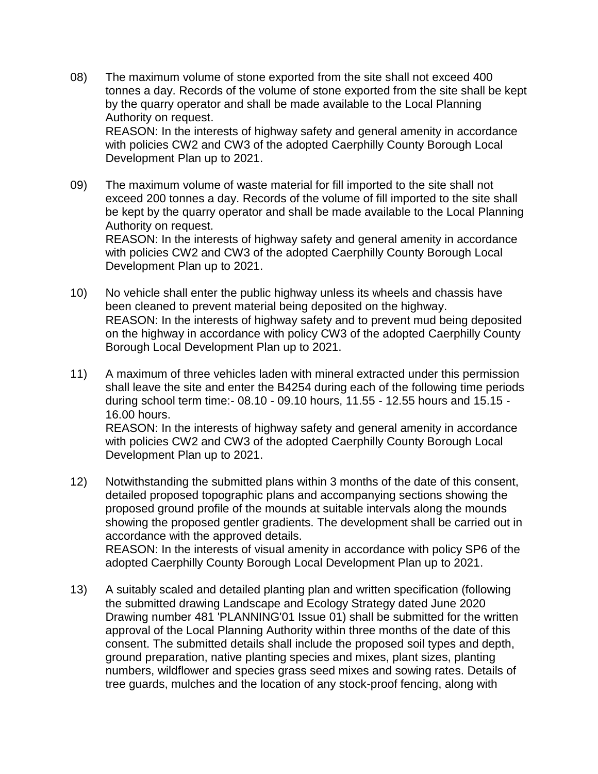08) The maximum volume of stone exported from the site shall not exceed 400 tonnes a day. Records of the volume of stone exported from the site shall be kept by the quarry operator and shall be made available to the Local Planning Authority on request. REASON: In the interests of highway safety and general amenity in accordance

with policies CW2 and CW3 of the adopted Caerphilly County Borough Local Development Plan up to 2021.

09) The maximum volume of waste material for fill imported to the site shall not exceed 200 tonnes a day. Records of the volume of fill imported to the site shall be kept by the quarry operator and shall be made available to the Local Planning Authority on request. REASON: In the interests of highway safety and general amenity in accordance

with policies CW2 and CW3 of the adopted Caerphilly County Borough Local Development Plan up to 2021.

- 10) No vehicle shall enter the public highway unless its wheels and chassis have been cleaned to prevent material being deposited on the highway. REASON: In the interests of highway safety and to prevent mud being deposited on the highway in accordance with policy CW3 of the adopted Caerphilly County Borough Local Development Plan up to 2021.
- 11) A maximum of three vehicles laden with mineral extracted under this permission shall leave the site and enter the B4254 during each of the following time periods during school term time:- 08.10 - 09.10 hours, 11.55 - 12.55 hours and 15.15 - 16.00 hours. REASON: In the interests of highway safety and general amenity in accordance with policies CW2 and CW3 of the adopted Caerphilly County Borough Local Development Plan up to 2021.
- 12) Notwithstanding the submitted plans within 3 months of the date of this consent, detailed proposed topographic plans and accompanying sections showing the proposed ground profile of the mounds at suitable intervals along the mounds showing the proposed gentler gradients. The development shall be carried out in accordance with the approved details. REASON: In the interests of visual amenity in accordance with policy SP6 of the adopted Caerphilly County Borough Local Development Plan up to 2021.
- 13) A suitably scaled and detailed planting plan and written specification (following the submitted drawing Landscape and Ecology Strategy dated June 2020 Drawing number 481 'PLANNING'01 Issue 01) shall be submitted for the written approval of the Local Planning Authority within three months of the date of this consent. The submitted details shall include the proposed soil types and depth, ground preparation, native planting species and mixes, plant sizes, planting numbers, wildflower and species grass seed mixes and sowing rates. Details of tree guards, mulches and the location of any stock-proof fencing, along with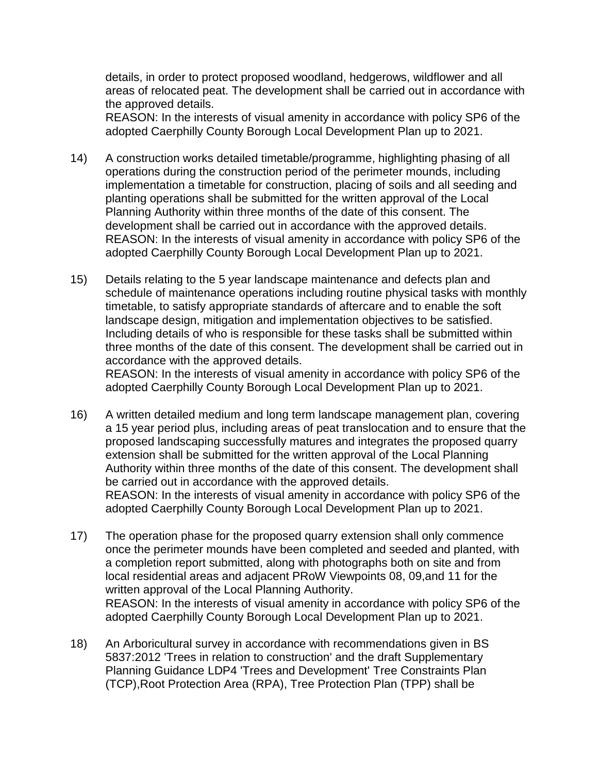details, in order to protect proposed woodland, hedgerows, wildflower and all areas of relocated peat. The development shall be carried out in accordance with the approved details.

REASON: In the interests of visual amenity in accordance with policy SP6 of the adopted Caerphilly County Borough Local Development Plan up to 2021.

- 14) A construction works detailed timetable/programme, highlighting phasing of all operations during the construction period of the perimeter mounds, including implementation a timetable for construction, placing of soils and all seeding and planting operations shall be submitted for the written approval of the Local Planning Authority within three months of the date of this consent. The development shall be carried out in accordance with the approved details. REASON: In the interests of visual amenity in accordance with policy SP6 of the adopted Caerphilly County Borough Local Development Plan up to 2021.
- 15) Details relating to the 5 year landscape maintenance and defects plan and schedule of maintenance operations including routine physical tasks with monthly timetable, to satisfy appropriate standards of aftercare and to enable the soft landscape design, mitigation and implementation objectives to be satisfied. Including details of who is responsible for these tasks shall be submitted within three months of the date of this consent. The development shall be carried out in accordance with the approved details. REASON: In the interests of visual amenity in accordance with policy SP6 of the

adopted Caerphilly County Borough Local Development Plan up to 2021.

- 16) A written detailed medium and long term landscape management plan, covering a 15 year period plus, including areas of peat translocation and to ensure that the proposed landscaping successfully matures and integrates the proposed quarry extension shall be submitted for the written approval of the Local Planning Authority within three months of the date of this consent. The development shall be carried out in accordance with the approved details. REASON: In the interests of visual amenity in accordance with policy SP6 of the adopted Caerphilly County Borough Local Development Plan up to 2021.
- 17) The operation phase for the proposed quarry extension shall only commence once the perimeter mounds have been completed and seeded and planted, with a completion report submitted, along with photographs both on site and from local residential areas and adjacent PRoW Viewpoints 08, 09,and 11 for the written approval of the Local Planning Authority. REASON: In the interests of visual amenity in accordance with policy SP6 of the adopted Caerphilly County Borough Local Development Plan up to 2021.
- 18) An Arboricultural survey in accordance with recommendations given in BS 5837:2012 'Trees in relation to construction' and the draft Supplementary Planning Guidance LDP4 'Trees and Development' Tree Constraints Plan (TCP),Root Protection Area (RPA), Tree Protection Plan (TPP) shall be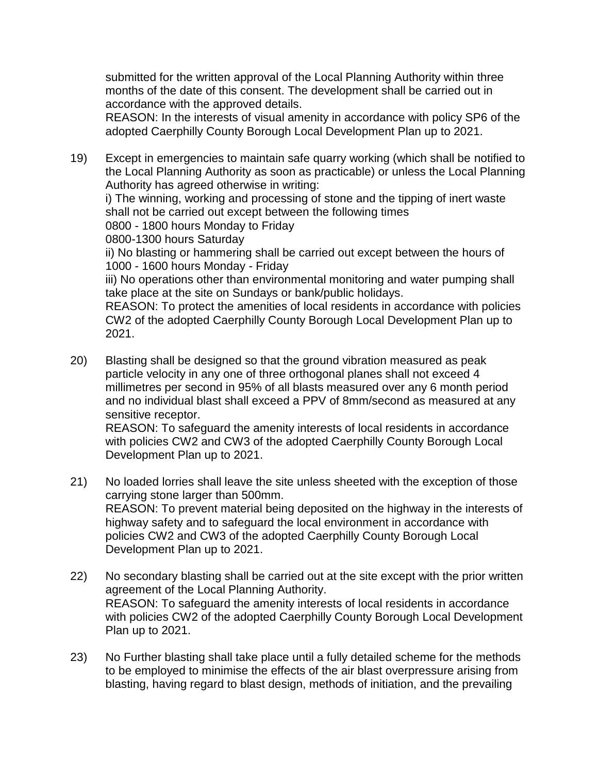submitted for the written approval of the Local Planning Authority within three months of the date of this consent. The development shall be carried out in accordance with the approved details.

REASON: In the interests of visual amenity in accordance with policy SP6 of the adopted Caerphilly County Borough Local Development Plan up to 2021.

19) Except in emergencies to maintain safe quarry working (which shall be notified to the Local Planning Authority as soon as practicable) or unless the Local Planning Authority has agreed otherwise in writing:

i) The winning, working and processing of stone and the tipping of inert waste shall not be carried out except between the following times

0800 - 1800 hours Monday to Friday

0800-1300 hours Saturday

ii) No blasting or hammering shall be carried out except between the hours of 1000 - 1600 hours Monday - Friday

iii) No operations other than environmental monitoring and water pumping shall take place at the site on Sundays or bank/public holidays.

REASON: To protect the amenities of local residents in accordance with policies CW2 of the adopted Caerphilly County Borough Local Development Plan up to 2021.

20) Blasting shall be designed so that the ground vibration measured as peak particle velocity in any one of three orthogonal planes shall not exceed 4 millimetres per second in 95% of all blasts measured over any 6 month period and no individual blast shall exceed a PPV of 8mm/second as measured at any sensitive receptor. REASON: To safeguard the amenity interests of local residents in accordance

with policies CW2 and CW3 of the adopted Caerphilly County Borough Local Development Plan up to 2021.

- 21) No loaded lorries shall leave the site unless sheeted with the exception of those carrying stone larger than 500mm. REASON: To prevent material being deposited on the highway in the interests of highway safety and to safeguard the local environment in accordance with policies CW2 and CW3 of the adopted Caerphilly County Borough Local Development Plan up to 2021.
- 22) No secondary blasting shall be carried out at the site except with the prior written agreement of the Local Planning Authority. REASON: To safeguard the amenity interests of local residents in accordance with policies CW2 of the adopted Caerphilly County Borough Local Development Plan up to 2021.
- 23) No Further blasting shall take place until a fully detailed scheme for the methods to be employed to minimise the effects of the air blast overpressure arising from blasting, having regard to blast design, methods of initiation, and the prevailing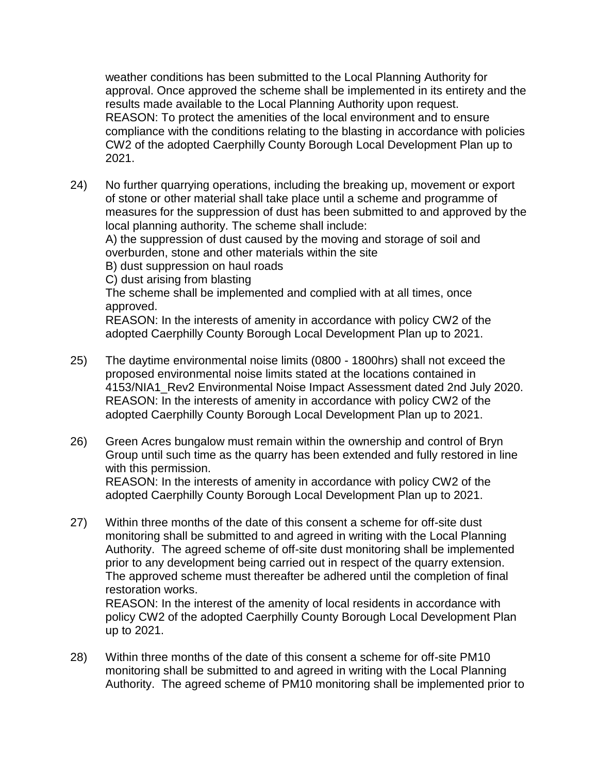weather conditions has been submitted to the Local Planning Authority for approval. Once approved the scheme shall be implemented in its entirety and the results made available to the Local Planning Authority upon request. REASON: To protect the amenities of the local environment and to ensure compliance with the conditions relating to the blasting in accordance with policies CW2 of the adopted Caerphilly County Borough Local Development Plan up to 2021.

24) No further quarrying operations, including the breaking up, movement or export of stone or other material shall take place until a scheme and programme of measures for the suppression of dust has been submitted to and approved by the local planning authority. The scheme shall include:

A) the suppression of dust caused by the moving and storage of soil and overburden, stone and other materials within the site

B) dust suppression on haul roads

C) dust arising from blasting

The scheme shall be implemented and complied with at all times, once approved.

REASON: In the interests of amenity in accordance with policy CW2 of the adopted Caerphilly County Borough Local Development Plan up to 2021.

- 25) The daytime environmental noise limits (0800 1800hrs) shall not exceed the proposed environmental noise limits stated at the locations contained in 4153/NIA1\_Rev2 Environmental Noise Impact Assessment dated 2nd July 2020. REASON: In the interests of amenity in accordance with policy CW2 of the adopted Caerphilly County Borough Local Development Plan up to 2021.
- 26) Green Acres bungalow must remain within the ownership and control of Bryn Group until such time as the quarry has been extended and fully restored in line with this permission. REASON: In the interests of amenity in accordance with policy CW2 of the

adopted Caerphilly County Borough Local Development Plan up to 2021.

27) Within three months of the date of this consent a scheme for off-site dust monitoring shall be submitted to and agreed in writing with the Local Planning Authority. The agreed scheme of off-site dust monitoring shall be implemented prior to any development being carried out in respect of the quarry extension. The approved scheme must thereafter be adhered until the completion of final restoration works.

REASON: In the interest of the amenity of local residents in accordance with policy CW2 of the adopted Caerphilly County Borough Local Development Plan up to 2021.

28) Within three months of the date of this consent a scheme for off-site PM10 monitoring shall be submitted to and agreed in writing with the Local Planning Authority. The agreed scheme of PM10 monitoring shall be implemented prior to